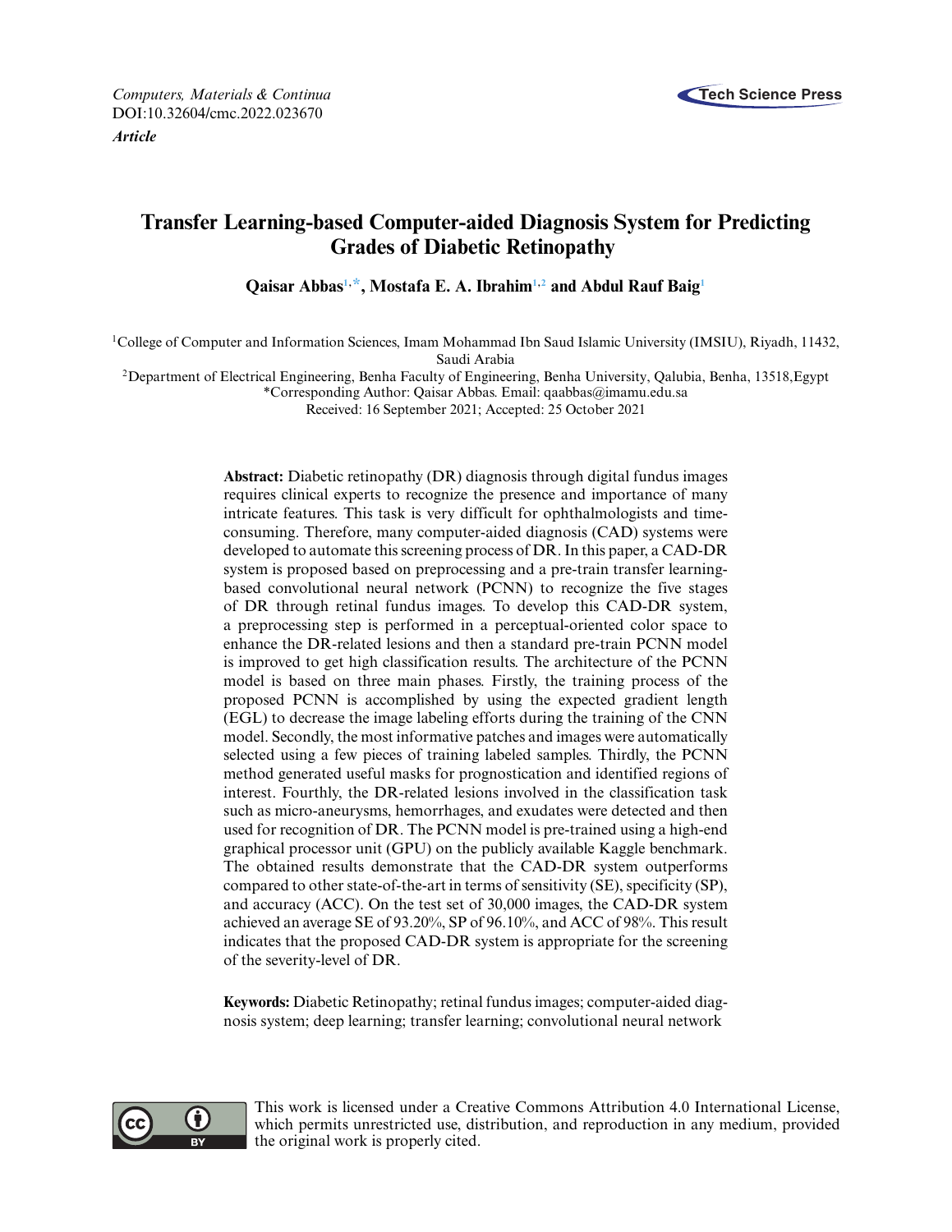

# **Transfer Learning-based Computer-aided Diagnosis System for Predicting Grades of Diabetic Retinopathy**

**Qaisar Abba[s1,](#page-0-0) [\\*,](#page-0-1) Mostafa E. A. Ibrahi[m1](#page-0-0)[,2](#page-0-2) and Abdul Rauf Bai[g1](#page-0-0)**

<span id="page-0-0"></span>1College of Computer and Information Sciences, Imam Mohammad Ibn Saud Islamic University (IMSIU), Riyadh, 11432, Saudi Arabia

<span id="page-0-2"></span>2Department of Electrical Engineering, Benha Faculty of Engineering, Benha University, Qalubia, Benha, 13518,Egypt

<span id="page-0-1"></span>\*Corresponding Author: Qaisar Abbas. Email: [qaabbas@imamu.edu.sa](mailto:qaabbas@imamu.edu.sa)

Received: 16 September 2021; Accepted: 25 October 2021

**Abstract:** Diabetic retinopathy (DR) diagnosis through digital fundus images requires clinical experts to recognize the presence and importance of many intricate features. This task is very difficult for ophthalmologists and timeconsuming. Therefore, many computer-aided diagnosis (CAD) systems were developed to automate this screening process of DR. In this paper, a CAD-DR system is proposed based on preprocessing and a pre-train transfer learningbased convolutional neural network (PCNN) to recognize the five stages of DR through retinal fundus images. To develop this CAD-DR system, a preprocessing step is performed in a perceptual-oriented color space to enhance the DR-related lesions and then a standard pre-train PCNN model is improved to get high classification results. The architecture of the PCNN model is based on three main phases. Firstly, the training process of the proposed PCNN is accomplished by using the expected gradient length (EGL) to decrease the image labeling efforts during the training of the CNN model. Secondly, the most informative patches and images were automatically selected using a few pieces of training labeled samples. Thirdly, the PCNN method generated useful masks for prognostication and identified regions of interest. Fourthly, the DR-related lesions involved in the classification task such as micro-aneurysms, hemorrhages, and exudates were detected and then used for recognition of DR. The PCNN model is pre-trained using a high-end graphical processor unit (GPU) on the publicly available Kaggle benchmark. The obtained results demonstrate that the CAD-DR system outperforms compared to other state-of-the-art in terms of sensitivity (SE), specificity (SP), and accuracy (ACC). On the test set of 30,000 images, the CAD-DR system achieved an average SE of 93.20%, SP of 96.10%, and ACC of 98%. This result indicates that the proposed CAD-DR system is appropriate for the screening of the severity-level of DR.

**Keywords:** Diabetic Retinopathy; retinal fundus images; computer-aided diagnosis system; deep learning; transfer learning; convolutional neural network



This work is licensed under a Creative Commons Attribution 4.0 International License, which permits unrestricted use, distribution, and reproduction in any medium, provided the original work is properly cited.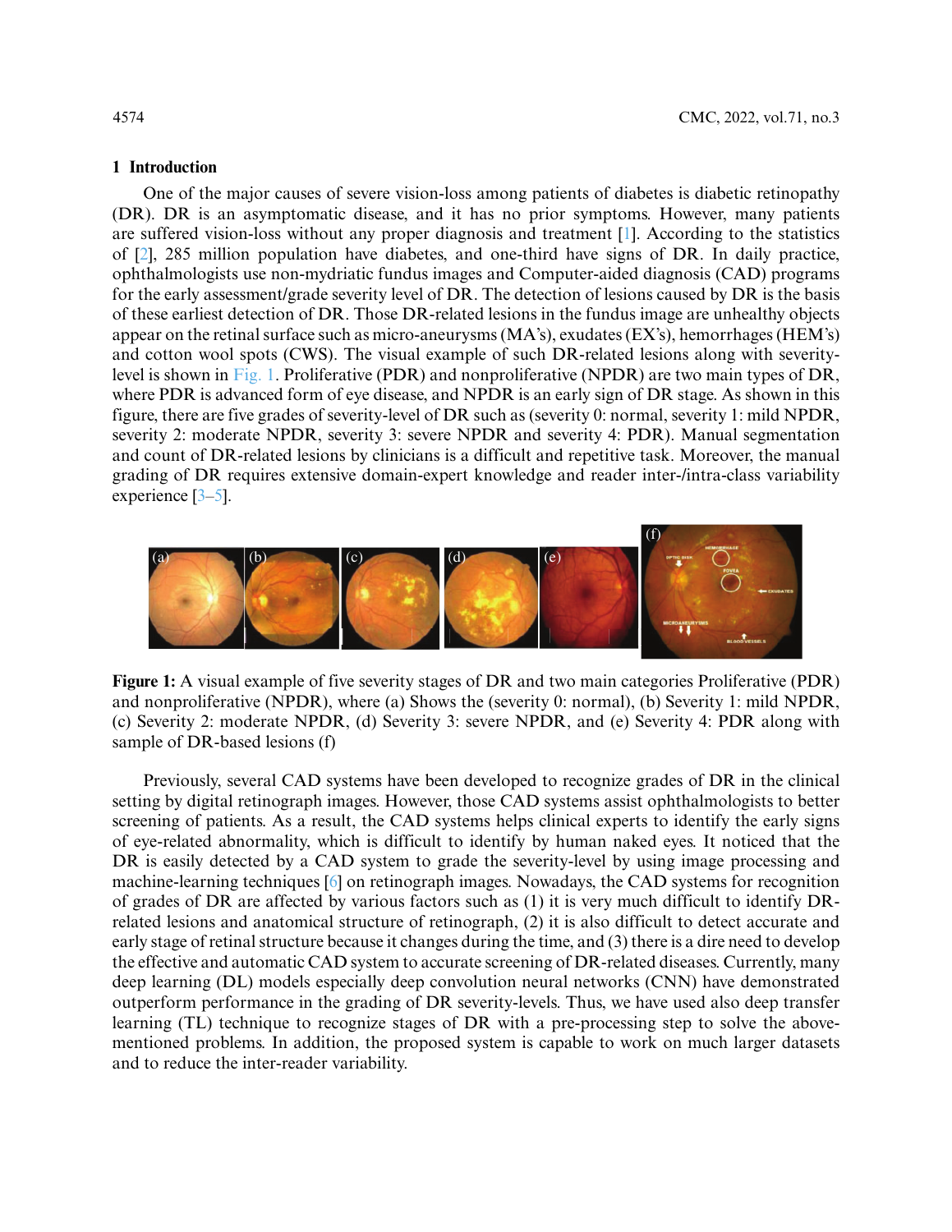# **1 Introduction**

One of the major causes of severe vision-loss among patients of diabetes is diabetic retinopathy (DR). DR is an asymptomatic disease, and it has no prior symptoms. However, many patients are suffered vision-loss without any proper diagnosis and treatment [\[1\]](#page-16-0). According to the statistics of [\[2\]](#page-16-1), 285 million population have diabetes, and one-third have signs of DR. In daily practice, ophthalmologists use non-mydriatic fundus images and Computer-aided diagnosis (CAD) programs for the early assessment/grade severity level of DR. The detection of lesions caused by DR is the basis of these earliest detection of DR. Those DR-related lesions in the fundus image are unhealthy objects appear on the retinal surface such as micro-aneurysms (MA's), exudates (EX's), hemorrhages (HEM's) and cotton wool spots (CWS). The visual example of such DR-related lesions along with severitylevel is shown in [Fig. 1.](#page-1-0) Proliferative (PDR) and nonproliferative (NPDR) are two main types of DR, where PDR is advanced form of eye disease, and NPDR is an early sign of DR stage. As shown in this figure, there are five grades of severity-level of DR such as (severity 0: normal, severity 1: mild NPDR, severity 2: moderate NPDR, severity 3: severe NPDR and severity 4: PDR). Manual segmentation and count of DR-related lesions by clinicians is a difficult and repetitive task. Moreover, the manual grading of DR requires extensive domain-expert knowledge and reader inter-/intra-class variability experience [\[3–](#page-16-2)[5\]](#page-16-3).



<span id="page-1-0"></span>**Figure 1:** A visual example of five severity stages of DR and two main categories Proliferative (PDR) and nonproliferative (NPDR), where (a) Shows the (severity 0: normal), (b) Severity 1: mild NPDR, (c) Severity 2: moderate NPDR, (d) Severity 3: severe NPDR, and (e) Severity 4: PDR along with sample of DR-based lesions (f)

Previously, several CAD systems have been developed to recognize grades of DR in the clinical setting by digital retinograph images. However, those CAD systems assist ophthalmologists to better screening of patients. As a result, the CAD systems helps clinical experts to identify the early signs of eye-related abnormality, which is difficult to identify by human naked eyes. It noticed that the DR is easily detected by a CAD system to grade the severity-level by using image processing and machine-learning techniques [\[6\]](#page-16-4) on retinograph images. Nowadays, the CAD systems for recognition of grades of DR are affected by various factors such as (1) it is very much difficult to identify DRrelated lesions and anatomical structure of retinograph, (2) it is also difficult to detect accurate and early stage of retinal structure because it changes during the time, and (3) there is a dire need to develop the effective and automatic CAD system to accurate screening of DR-related diseases. Currently, many deep learning (DL) models especially deep convolution neural networks (CNN) have demonstrated outperform performance in the grading of DR severity-levels. Thus, we have used also deep transfer learning (TL) technique to recognize stages of DR with a pre-processing step to solve the abovementioned problems. In addition, the proposed system is capable to work on much larger datasets and to reduce the inter-reader variability.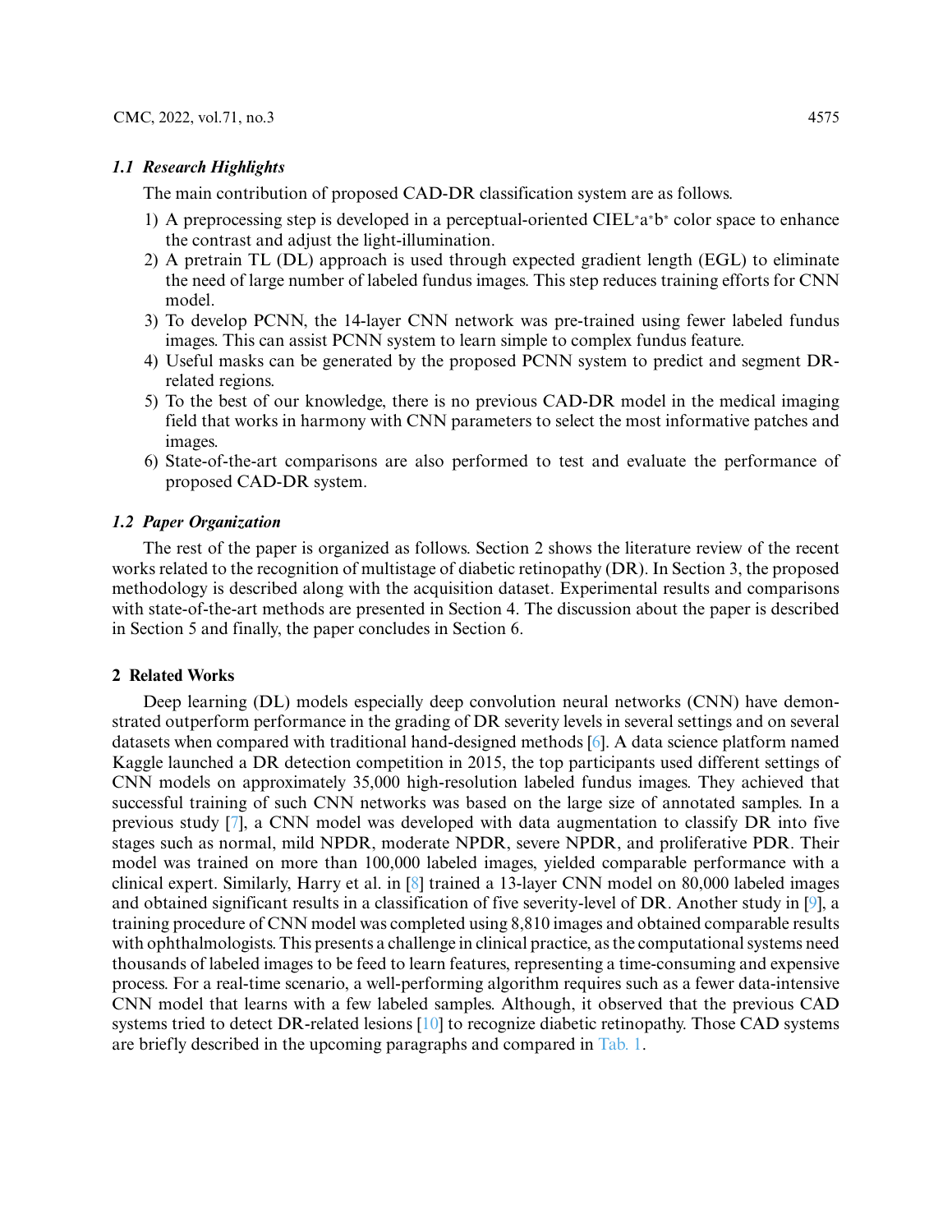# *1.1 Research Highlights*

The main contribution of proposed CAD-DR classification system are as follows.

- 1) A preprocessing step is developed in a perceptual-oriented CIEL<sup>∗</sup> a∗ b<sup>∗</sup> color space to enhance the contrast and adjust the light-illumination.
- 2) A pretrain TL (DL) approach is used through expected gradient length (EGL) to eliminate the need of large number of labeled fundus images. This step reduces training efforts for CNN model.
- 3) To develop PCNN, the 14-layer CNN network was pre-trained using fewer labeled fundus images. This can assist PCNN system to learn simple to complex fundus feature.
- 4) Useful masks can be generated by the proposed PCNN system to predict and segment DRrelated regions.
- 5) To the best of our knowledge, there is no previous CAD-DR model in the medical imaging field that works in harmony with CNN parameters to select the most informative patches and images.
- 6) State-of-the-art comparisons are also performed to test and evaluate the performance of proposed CAD-DR system.

# *1.2 Paper Organization*

The rest of the paper is organized as follows. Section 2 shows the literature review of the recent works related to the recognition of multistage of diabetic retinopathy (DR). In Section 3, the proposed methodology is described along with the acquisition dataset. Experimental results and comparisons with state-of-the-art methods are presented in Section 4. The discussion about the paper is described in Section 5 and finally, the paper concludes in Section 6.

# **2 Related Works**

Deep learning (DL) models especially deep convolution neural networks (CNN) have demonstrated outperform performance in the grading of DR severity levels in several settings and on several datasets when compared with traditional hand-designed methods [\[6\]](#page-16-4). A data science platform named Kaggle launched a DR detection competition in 2015, the top participants used different settings of CNN models on approximately 35,000 high-resolution labeled fundus images. They achieved that successful training of such CNN networks was based on the large size of annotated samples. In a previous study [\[7\]](#page-16-5), a CNN model was developed with data augmentation to classify DR into five stages such as normal, mild NPDR, moderate NPDR, severe NPDR, and proliferative PDR. Their model was trained on more than 100,000 labeled images, yielded comparable performance with a clinical expert. Similarly, Harry et al. in [\[8\]](#page-16-6) trained a 13-layer CNN model on 80,000 labeled images and obtained significant results in a classification of five severity-level of DR. Another study in [\[9\]](#page-16-7), a training procedure of CNN model was completed using 8,810 images and obtained comparable results with ophthalmologists. This presents a challenge in clinical practice, as the computational systems need thousands of labeled images to be feed to learn features, representing a time-consuming and expensive process. For a real-time scenario, a well-performing algorithm requires such as a fewer data-intensive CNN model that learns with a few labeled samples. Although, it observed that the previous CAD systems tried to detect DR-related lesions [\[10\]](#page-16-8) to recognize diabetic retinopathy. Those CAD systems are briefly described in the upcoming paragraphs and compared in [Tab. 1.](#page-3-0)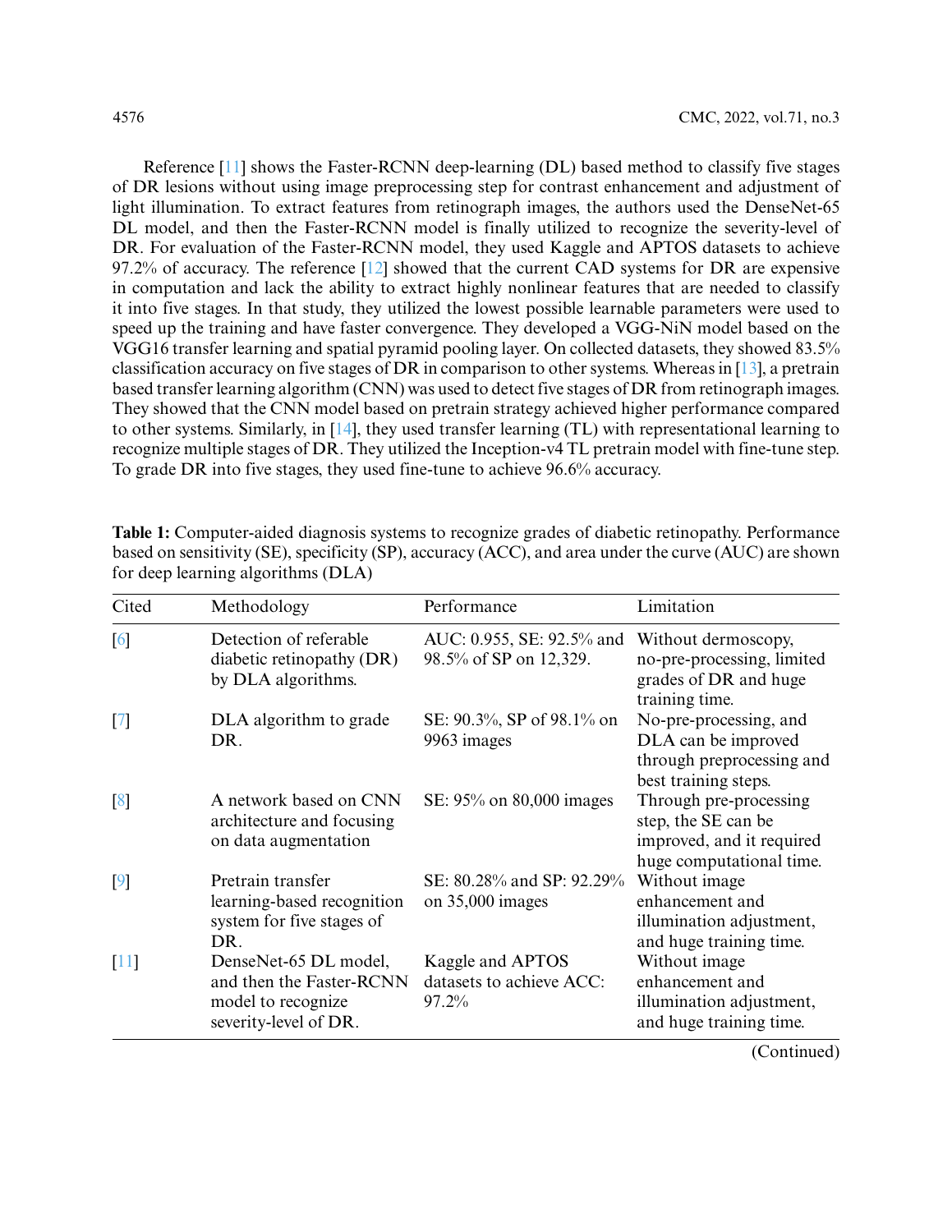Reference [\[11\]](#page-16-9) shows the Faster-RCNN deep-learning (DL) based method to classify five stages of DR lesions without using image preprocessing step for contrast enhancement and adjustment of light illumination. To extract features from retinograph images, the authors used the DenseNet-65 DL model, and then the Faster-RCNN model is finally utilized to recognize the severity-level of DR. For evaluation of the Faster-RCNN model, they used Kaggle and APTOS datasets to achieve 97.2% of accuracy. The reference [\[12\]](#page-16-10) showed that the current CAD systems for DR are expensive in computation and lack the ability to extract highly nonlinear features that are needed to classify it into five stages. In that study, they utilized the lowest possible learnable parameters were used to speed up the training and have faster convergence. They developed a VGG-NiN model based on the VGG16 transfer learning and spatial pyramid pooling layer. On collected datasets, they showed 83.5% classification accuracy on five stages of DR in comparison to other systems. Whereas in [\[13\]](#page-16-11), a pretrain based transfer learning algorithm (CNN) was used to detect five stages of DR from retinograph images. They showed that the CNN model based on pretrain strategy achieved higher performance compared to other systems. Similarly, in [\[14\]](#page-16-12), they used transfer learning (TL) with representational learning to recognize multiple stages of DR. They utilized the Inception-v4 TL pretrain model with fine-tune step. To grade DR into five stages, they used fine-tune to achieve 96.6% accuracy.

| Cited             | Methodology                                                                                      | Performance                                           | Limitation                                                                                             |
|-------------------|--------------------------------------------------------------------------------------------------|-------------------------------------------------------|--------------------------------------------------------------------------------------------------------|
| $\lceil 6 \rceil$ | Detection of referable<br>diabetic retinopathy (DR)<br>by DLA algorithms.                        | AUC: 0.955, SE: 92.5% and<br>98.5% of SP on 12,329.   | Without dermoscopy,<br>no-pre-processing, limited<br>grades of DR and huge<br>training time.           |
| $\lceil 7 \rceil$ | DLA algorithm to grade<br>DR.                                                                    | SE: 90.3%, SP of 98.1% on<br>9963 images              | No-pre-processing, and<br>DLA can be improved<br>through preprocessing and<br>best training steps.     |
| $\lceil 8 \rceil$ | A network based on CNN<br>architecture and focusing<br>on data augmentation                      | SE: 95% on 80,000 images                              | Through pre-processing<br>step, the SE can be<br>improved, and it required<br>huge computational time. |
| 9                 | Pretrain transfer<br>learning-based recognition<br>system for five stages of<br>DR.              | SE: 80.28% and SP: 92.29%<br>on $35,000$ images       | Without image<br>enhancement and<br>illumination adjustment,<br>and huge training time.                |
| [11]              | DenseNet-65 DL model,<br>and then the Faster-RCNN<br>model to recognize<br>severity-level of DR. | Kaggle and APTOS<br>datasets to achieve ACC:<br>97.2% | Without image<br>enhancement and<br>illumination adjustment,<br>and huge training time.                |

<span id="page-3-0"></span>**Table 1:** Computer-aided diagnosis systems to recognize grades of diabetic retinopathy. Performance based on sensitivity (SE), specificity (SP), accuracy (ACC), and area under the curve (AUC) are shown for deep learning algorithms (DLA)

(Continued)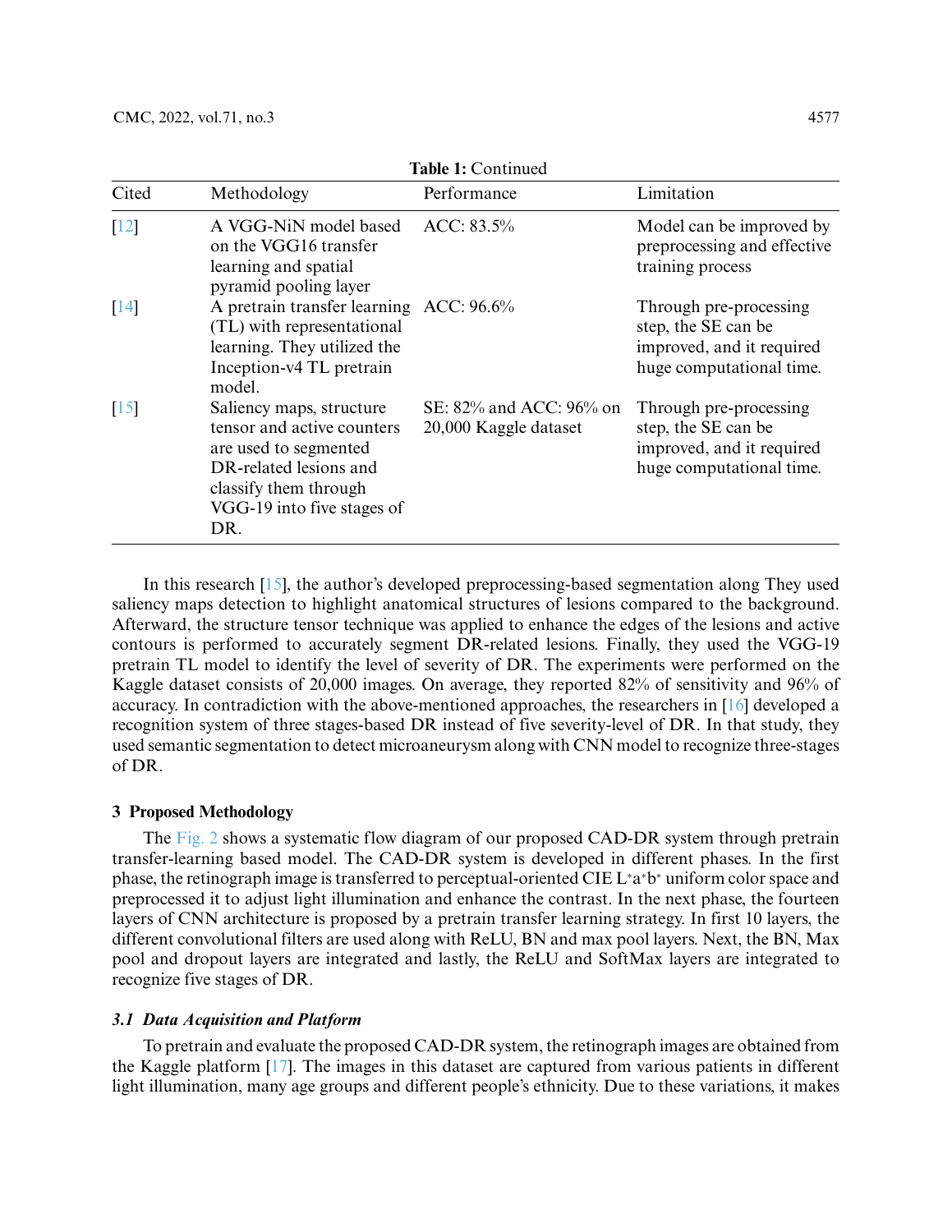| Cited              | Methodology                                                                                                                                                             | Performance                                      | Limitation                                                                                             |
|--------------------|-------------------------------------------------------------------------------------------------------------------------------------------------------------------------|--------------------------------------------------|--------------------------------------------------------------------------------------------------------|
| $\lceil 12 \rceil$ | A VGG-NiN model based<br>on the VGG16 transfer<br>learning and spatial<br>pyramid pooling layer                                                                         | $ACC: 83.5\%$                                    | Model can be improved by<br>preprocessing and effective<br>training process                            |
| $\lceil 14 \rceil$ | A pretrain transfer learning ACC: 96.6%<br>(TL) with representational<br>learning. They utilized the<br>Inception-v4 TL pretrain<br>model.                              |                                                  | Through pre-processing<br>step, the SE can be<br>improved, and it required<br>huge computational time. |
| $\lceil 15 \rceil$ | Saliency maps, structure<br>tensor and active counters<br>are used to segmented<br>DR-related lesions and<br>classify them through<br>VGG-19 into five stages of<br>DR. | SE: 82% and ACC: 96% on<br>20,000 Kaggle dataset | Through pre-processing<br>step, the SE can be<br>improved, and it required<br>huge computational time. |

**Table 1:** Continued

In this research [\[15\]](#page-16-13), the author's developed preprocessing-based segmentation along They used saliency maps detection to highlight anatomical structures of lesions compared to the background. Afterward, the structure tensor technique was applied to enhance the edges of the lesions and active contours is performed to accurately segment DR-related lesions. Finally, they used the VGG-19 pretrain TL model to identify the level of severity of DR. The experiments were performed on the Kaggle dataset consists of 20,000 images. On average, they reported 82% of sensitivity and 96% of accuracy. In contradiction with the above-mentioned approaches, the researchers in [\[16\]](#page-16-14) developed a recognition system of three stages-based DR instead of five severity-level of DR. In that study, they used semantic segmentation to detect microaneurysm along with CNN model to recognize three-stages of DR.

### **3 Proposed Methodology**

The [Fig. 2](#page-5-0) shows a systematic flow diagram of our proposed CAD-DR system through pretrain transfer-learning based model. The CAD-DR system is developed in different phases. In the first phase, the retinograph image is transferred to perceptual-oriented CIE L\*a\*b\* uniform color space and preprocessed it to adjust light illumination and enhance the contrast. In the next phase, the fourteen layers of CNN architecture is proposed by a pretrain transfer learning strategy. In first 10 layers, the different convolutional filters are used along with ReLU, BN and max pool layers. Next, the BN, Max pool and dropout layers are integrated and lastly, the ReLU and SoftMax layers are integrated to recognize five stages of DR.

# *3.1 Data Acquisition and Platform*

To pretrain and evaluate the proposed CAD-DR system, the retinograph images are obtained from the Kaggle platform [\[17\]](#page-16-15). The images in this dataset are captured from various patients in different light illumination, many age groups and different people's ethnicity. Due to these variations, it makes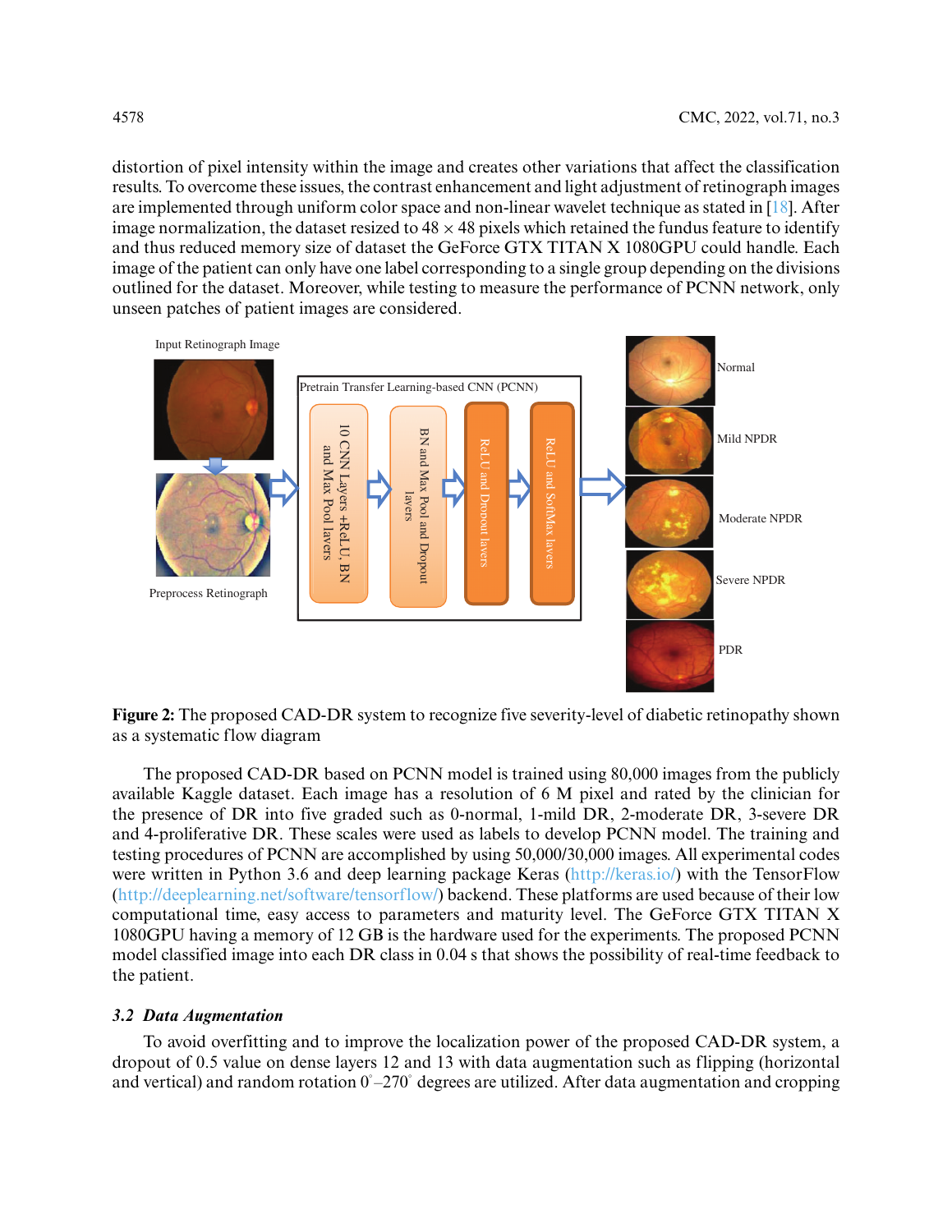distortion of pixel intensity within the image and creates other variations that affect the classification results. To overcome these issues, the contrast enhancement and light adjustment of retinograph images are implemented through uniform color space and non-linear wavelet technique as stated in [\[18\]](#page-16-16). After image normalization, the dataset resized to  $48 \times 48$  pixels which retained the fundus feature to identify and thus reduced memory size of dataset the GeForce GTX TITAN X 1080GPU could handle. Each image of the patient can only have one label corresponding to a single group depending on the divisions outlined for the dataset. Moreover, while testing to measure the performance of PCNN network, only unseen patches of patient images are considered.



<span id="page-5-0"></span>**Figure 2:** The proposed CAD-DR system to recognize five severity-level of diabetic retinopathy shown as a systematic flow diagram

The proposed CAD-DR based on PCNN model is trained using 80,000 images from the publicly available Kaggle dataset. Each image has a resolution of 6 M pixel and rated by the clinician for the presence of DR into five graded such as 0-normal, 1-mild DR, 2-moderate DR, 3-severe DR and 4-proliferative DR. These scales were used as labels to develop PCNN model. The training and testing procedures of PCNN are accomplished by using 50,000/30,000 images. All experimental codes were written in Python 3.6 and deep learning package Keras (http://keras.jo/) with the TensorFlow [\(http://deeplearning.net/software/tensorflow/\)](http://deeplearning.net/software/tensorflow/) backend. These platforms are used because of their low computational time, easy access to parameters and maturity level. The GeForce GTX TITAN X 1080GPU having a memory of 12 GB is the hardware used for the experiments. The proposed PCNN model classified image into each DR class in 0.04 s that shows the possibility of real-time feedback to the patient.

# *3.2 Data Augmentation*

To avoid overfitting and to improve the localization power of the proposed CAD-DR system, a dropout of 0.5 value on dense layers 12 and 13 with data augmentation such as flipping (horizontal and vertical) and random rotation  $0^\circ$ –270 $^\circ$  degrees are utilized. After data augmentation and cropping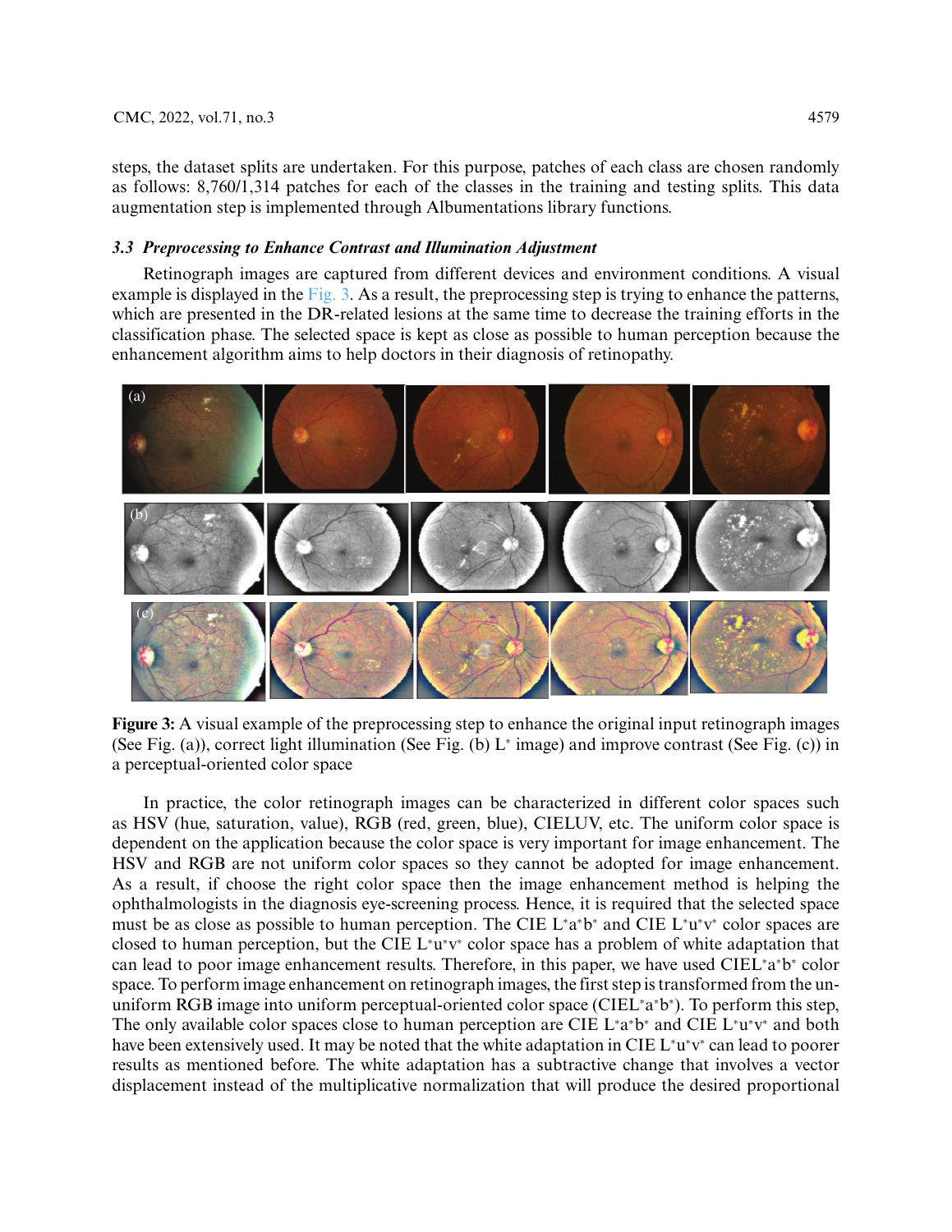steps, the dataset splits are undertaken. For this purpose, patches of each class are chosen randomly as follows: 8,760/1,314 patches for each of the classes in the training and testing splits. This data augmentation step is implemented through Albumentations library functions.

# *3.3 Preprocessing to Enhance Contrast and Illumination Adjustment*

Retinograph images are captured from different devices and environment conditions. A visual example is displayed in the  $Fig. 3$ . As a result, the preprocessing step is trying to enhance the patterns, which are presented in the DR-related lesions at the same time to decrease the training efforts in the classification phase. The selected space is kept as close as possible to human perception because the enhancement algorithm aims to help doctors in their diagnosis of retinopathy.



<span id="page-6-0"></span>

In practice, the color retinograph images can be characterized in different color spaces such as HSV (hue, saturation, value), RGB (red, green, blue), CIELUV, etc. The uniform color space is dependent on the application because the color space is very important for image enhancement. The HSV and RGB are not uniform color spaces so they cannot be adopted for image enhancement. As a result, if choose the right color space then the image enhancement method is helping the ophthalmologists in the diagnosis eye-screening process. Hence, it is required that the selected space must be as close as possible to human perception. The CIE L\*a\*b\* and CIE L\*u\*v\* color spaces are closed to human perception, but the CIE L<sup>∗</sup> u∗ v<sup>∗</sup> color space has a problem of white adaptation that can lead to poor image enhancement results. Therefore, in this paper, we have used CIEL<sup>∗</sup> a∗ b<sup>∗</sup> color space. To perform image enhancement on retinograph images, the first step is transformed from the ununiform RGB image into uniform perceptual-oriented color space (CIEL<sup>∗</sup> a∗ b∗ ). To perform this step, The only available color spaces close to human perception are CIE L<sup>∗</sup> a∗ b<sup>∗</sup> and CIE L<sup>∗</sup> u∗ v<sup>∗</sup> and both have been extensively used. It may be noted that the white adaptation in CIE L<sup>∗</sup> u∗ v<sup>∗</sup> can lead to poorer results as mentioned before. The white adaptation has a subtractive change that involves a vector displacement instead of the multiplicative normalization that will produce the desired proportional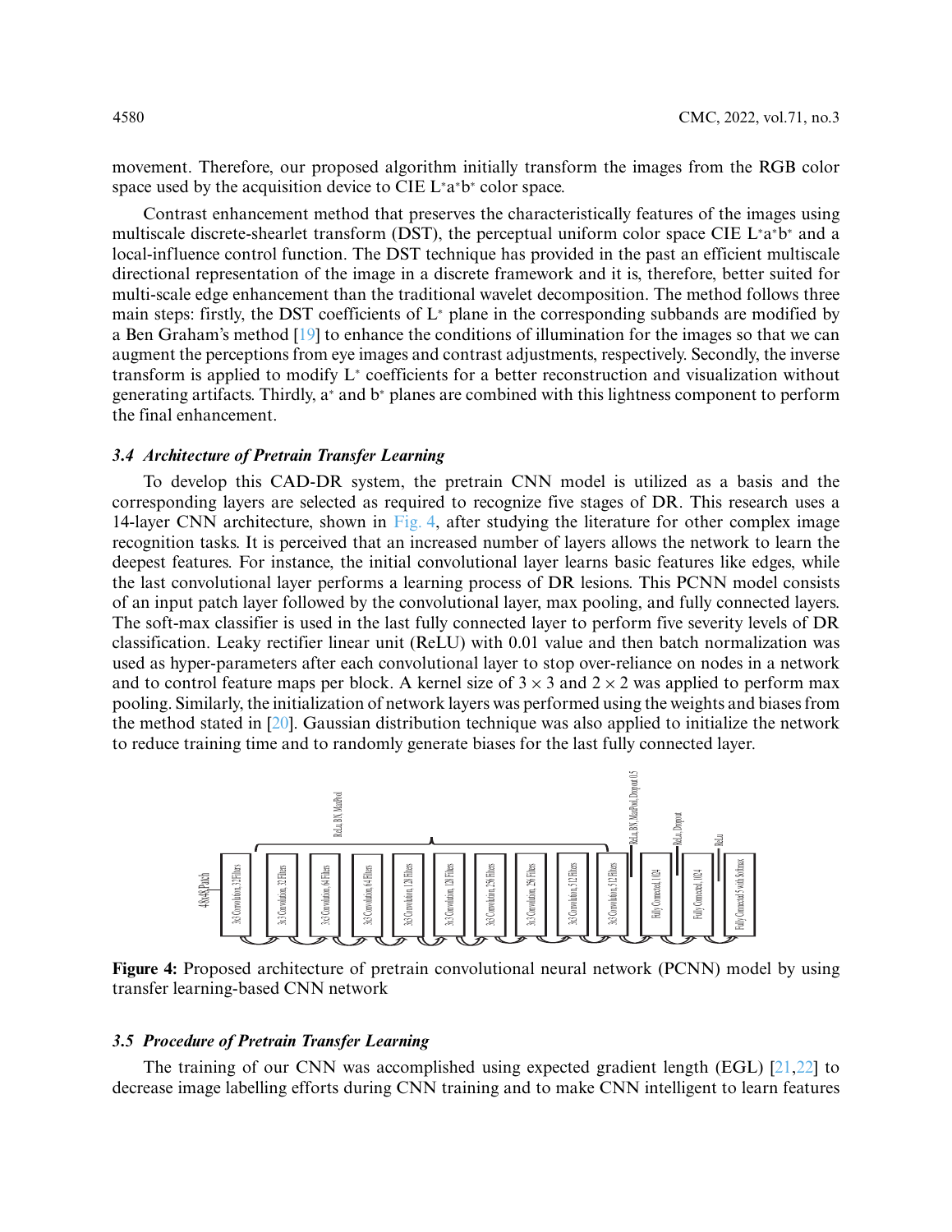movement. Therefore, our proposed algorithm initially transform the images from the RGB color space used by the acquisition device to CIE L<sup>∗</sup> a∗ b<sup>∗</sup> color space.

Contrast enhancement method that preserves the characteristically features of the images using multiscale discrete-shearlet transform (DST), the perceptual uniform color space CIE L<sup>∗</sup> a∗ b<sup>∗</sup> and a local-influence control function. The DST technique has provided in the past an efficient multiscale directional representation of the image in a discrete framework and it is, therefore, better suited for multi-scale edge enhancement than the traditional wavelet decomposition. The method follows three main steps: firstly, the DST coefficients of L<sup>∗</sup> plane in the corresponding subbands are modified by a Ben Graham's method [\[19\]](#page-17-0) to enhance the conditions of illumination for the images so that we can augment the perceptions from eye images and contrast adjustments, respectively. Secondly, the inverse transform is applied to modify L<sup>∗</sup> coefficients for a better reconstruction and visualization without generating artifacts. Thirdly, a<sup>∗</sup> and b<sup>∗</sup> planes are combined with this lightness component to perform the final enhancement.

# *3.4 Architecture of Pretrain Transfer Learning*

To develop this CAD-DR system, the pretrain CNN model is utilized as a basis and the corresponding layers are selected as required to recognize five stages of DR. This research uses a 14-layer CNN architecture, shown in [Fig. 4,](#page-7-0) after studying the literature for other complex image recognition tasks. It is perceived that an increased number of layers allows the network to learn the deepest features. For instance, the initial convolutional layer learns basic features like edges, while the last convolutional layer performs a learning process of DR lesions. This PCNN model consists of an input patch layer followed by the convolutional layer, max pooling, and fully connected layers. The soft-max classifier is used in the last fully connected layer to perform five severity levels of DR classification. Leaky rectifier linear unit (ReLU) with 0.01 value and then batch normalization was used as hyper-parameters after each convolutional layer to stop over-reliance on nodes in a network and to control feature maps per block. A kernel size of  $3 \times 3$  and  $2 \times 2$  was applied to perform max pooling. Similarly, the initialization of network layers was performed using the weights and biases from the method stated in [\[20\]](#page-17-1). Gaussian distribution technique was also applied to initialize the network to reduce training time and to randomly generate biases for the last fully connected layer.



<span id="page-7-0"></span>**Figure 4:** Proposed architecture of pretrain convolutional neural network (PCNN) model by using transfer learning-based CNN network

# *3.5 Procedure of Pretrain Transfer Learning*

The training of our CNN was accomplished using expected gradient length (EGL)  $[21,22]$  $[21,22]$  to decrease image labelling efforts during CNN training and to make CNN intelligent to learn features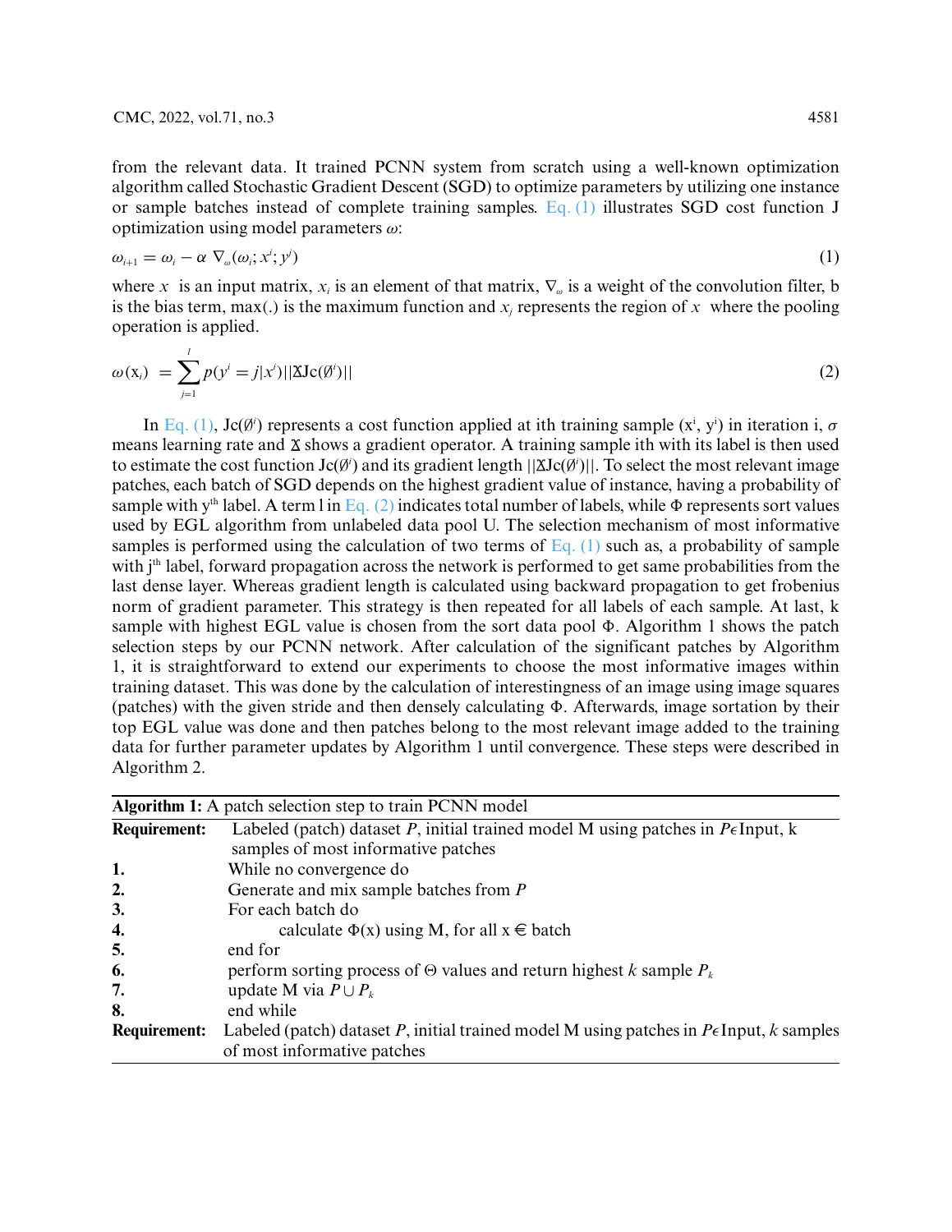from the relevant data. It trained PCNN system from scratch using a well-known optimization algorithm called Stochastic Gradient Descent (SGD) to optimize parameters by utilizing one instance or sample batches instead of complete training samples. [Eq. \(1\)](#page-8-0) illustrates SGD cost function J optimization using model parameters *ω*:

<span id="page-8-0"></span>
$$
\omega_{i+1} = \omega_i - \alpha \nabla_{\omega}(\omega_i; x^i; y^j) \tag{1}
$$

where *x* is an input matrix,  $x_i$  is an element of that matrix,  $\nabla_\omega$  is a weight of the convolution filter, b is the bias term, max(.) is the maximum function and  $x_i$  represents the region of x where the pooling operation is applied.

<span id="page-8-1"></span>
$$
\omega(\mathbf{x}_i) = \sum_{j=1}^l p(y^i = j | x^i) ||\Delta \mathbf{J} \mathbf{c}(\emptyset^i) || \tag{2}
$$

In [Eq. \(1\),](#page-8-0) Jc( $\emptyset$ <sup>*i*</sup>) represents a cost function applied at ith training sample  $(x^i, y^i)$  in iteration i,  $\sigma$ means learning rate and  $\Delta$  shows a gradient operator. A training sample ith with its label is then used to estimate the cost function  $Jc(\emptyset)$  and its gradient length  $||\Delta Jc(\emptyset)||$ . To select the most relevant image patches, each batch of SGD depends on the highest gradient value of instance, having a probability of sample with y<sup>th</sup> label. A term l in [Eq. \(2\)](#page-8-1) indicates total number of labels, while  $\Phi$  represents sort values used by EGL algorithm from unlabeled data pool U. The selection mechanism of most informative samples is performed using the calculation of two terms of  $Eq. (1)$  such as, a probability of sample with j<sup>th</sup> label, forward propagation across the network is performed to get same probabilities from the last dense layer. Whereas gradient length is calculated using backward propagation to get frobenius norm of gradient parameter. This strategy is then repeated for all labels of each sample. At last, k sample with highest EGL value is chosen from the sort data pool  $\Phi$ . Algorithm 1 shows the patch selection steps by our PCNN network. After calculation of the significant patches by Algorithm 1, it is straightforward to extend our experiments to choose the most informative images within training dataset. This was done by the calculation of interestingness of an image using image squares (patches) with the given stride and then densely calculating  $\Phi$ . Afterwards, image sortation by their top EGL value was done and then patches belong to the most relevant image added to the training data for further parameter updates by Algorithm 1 until convergence. These steps were described in Algorithm 2.

|                     | <b>Algorithm 1:</b> A patch selection step to train PCNN model                                                                      |
|---------------------|-------------------------------------------------------------------------------------------------------------------------------------|
| <b>Requirement:</b> | Labeled (patch) dataset P, initial trained model M using patches in $P \in \text{Input}$ , k<br>samples of most informative patches |
| 1.                  | While no convergence do                                                                                                             |
| 2.                  | Generate and mix sample batches from $P$                                                                                            |
| 3.                  | For each batch do                                                                                                                   |
| 4.                  | calculate $\Phi(x)$ using M, for all $x \in$ batch                                                                                  |
| 5.                  | end for                                                                                                                             |
| 6.                  | perform sorting process of $\Theta$ values and return highest k sample $P_k$                                                        |
| 7.                  | update M via $P \cup P_{k}$                                                                                                         |
| 8.                  | end while                                                                                                                           |
| <b>Requirement:</b> | Labeled (patch) dataset P, initial trained model M using patches in $P\epsilon$ Input, k samples<br>of most informative patches     |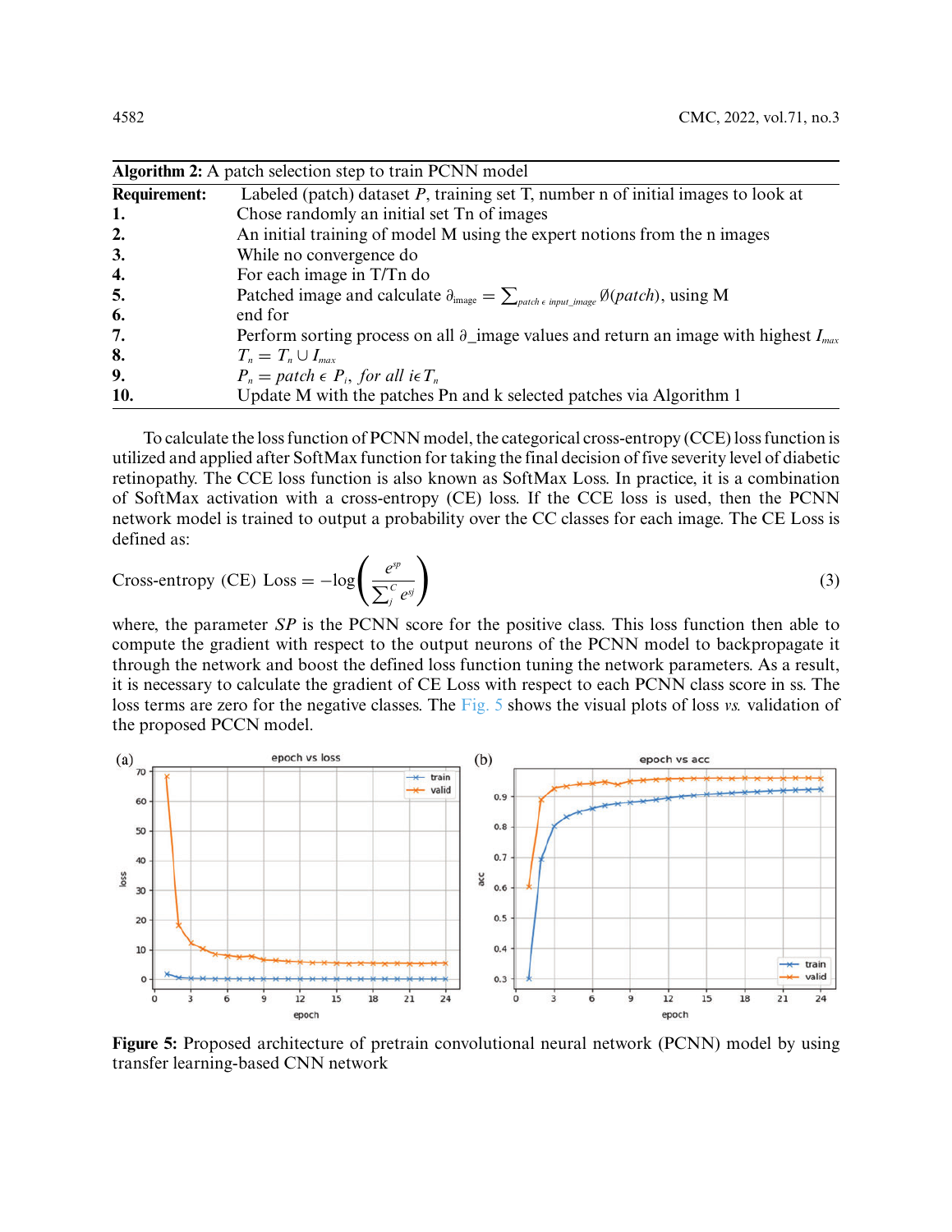|                     | <b>Algorithm 2:</b> A patch selection step to train PCNN model                                                                               |  |  |  |  |  |
|---------------------|----------------------------------------------------------------------------------------------------------------------------------------------|--|--|--|--|--|
| <b>Requirement:</b> | Labeled (patch) dataset $P$ , training set $T$ , number n of initial images to look at                                                       |  |  |  |  |  |
| 1.                  | Chose randomly an initial set Tn of images                                                                                                   |  |  |  |  |  |
| 2.                  | An initial training of model M using the expert notions from the n images                                                                    |  |  |  |  |  |
| 3.                  | While no convergence do                                                                                                                      |  |  |  |  |  |
| 4.                  | For each image in T/Tn do                                                                                                                    |  |  |  |  |  |
| 5.                  | Patched image and calculate $\partial_{\text{image}} = \sum_{\text{patch } \epsilon \text{ input\_image}} \emptyset(\text{patch})$ , using M |  |  |  |  |  |
| 6.                  | end for                                                                                                                                      |  |  |  |  |  |
| 7.                  | Perform sorting process on all $\partial_{\perp}$ image values and return an image with highest $I_{max}$                                    |  |  |  |  |  |
| 8.                  | $T_n = T_n \cup I_{max}$                                                                                                                     |  |  |  |  |  |
| 9.                  | $P_n = patch \in P_i$ , for all i $\in T_n$                                                                                                  |  |  |  |  |  |
| 10.                 | Update M with the patches Pn and k selected patches via Algorithm 1                                                                          |  |  |  |  |  |

To calculate the loss function of PCNN model, the categorical cross-entropy (CCE) loss function is utilized and applied after SoftMax function for taking the final decision of five severity level of diabetic retinopathy. The CCE loss function is also known as SoftMax Loss. In practice, it is a combination of SoftMax activation with a cross-entropy (CE) loss. If the CCE loss is used, then the PCNN network model is trained to output a probability over the CC classes for each image. The CE Loss is defined as:

Cross-entropy (CE) Loss = 
$$
-\log\left(\frac{e^{sp}}{\sum_{j}^{C} e^{sj}}\right)
$$
 (3)

where, the parameter *SP* is the PCNN score for the positive class. This loss function then able to compute the gradient with respect to the output neurons of the PCNN model to backpropagate it through the network and boost the defined loss function tuning the network parameters. As a result, it is necessary to calculate the gradient of CE Loss with respect to each PCNN class score in ss. The loss terms are zero for the negative classes. The [Fig. 5](#page-9-0) shows the visual plots of loss *vs.* validation of the proposed PCCN model.



<span id="page-9-0"></span>**Figure 5:** Proposed architecture of pretrain convolutional neural network (PCNN) model by using transfer learning-based CNN network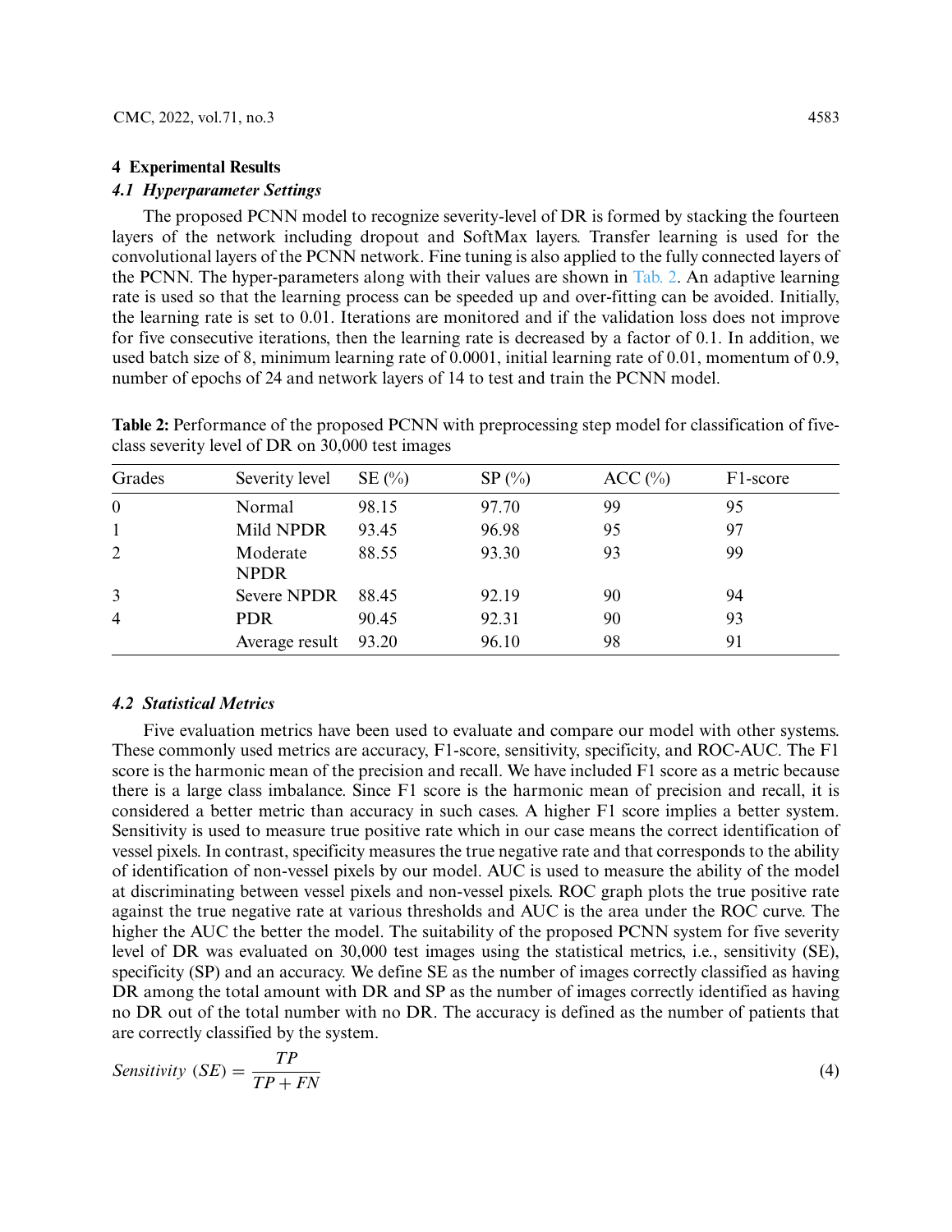### **4 Experimental Results**

# *4.1 Hyperparameter Settings*

The proposed PCNN model to recognize severity-level of DR is formed by stacking the fourteen layers of the network including dropout and SoftMax layers. Transfer learning is used for the convolutional layers of the PCNN network. Fine tuning is also applied to the fully connected layers of the PCNN. The hyper-parameters along with their values are shown in [Tab. 2.](#page-10-0) An adaptive learning rate is used so that the learning process can be speeded up and over-fitting can be avoided. Initially, the learning rate is set to 0.01. Iterations are monitored and if the validation loss does not improve for five consecutive iterations, then the learning rate is decreased by a factor of 0.1. In addition, we used batch size of 8, minimum learning rate of 0.0001, initial learning rate of 0.01, momentum of 0.9, number of epochs of 24 and network layers of 14 to test and train the PCNN model.

| Grades         | Severity level          | $SE(\%)$ | $SP(\%)$ | ACC(%) | F1-score |
|----------------|-------------------------|----------|----------|--------|----------|
| $\mathbf{0}$   | Normal                  | 98.15    | 97.70    | 99     | 95       |
| $\mathbf{1}$   | Mild NPDR               | 93.45    | 96.98    | 95     | 97       |
| $\overline{2}$ | Moderate<br><b>NPDR</b> | 88.55    | 93.30    | 93     | 99       |
| 3              | <b>Severe NPDR</b>      | 88.45    | 92.19    | 90     | 94       |
| $\overline{4}$ | <b>PDR</b>              | 90.45    | 92.31    | 90     | 93       |
|                | Average result          | 93.20    | 96.10    | 98     | 91       |

<span id="page-10-0"></span>**Table 2:** Performance of the proposed PCNN with preprocessing step model for classification of fiveclass severity level of DR on 30,000 test images

## *4.2 Statistical Metrics*

Five evaluation metrics have been used to evaluate and compare our model with other systems. These commonly used metrics are accuracy, F1-score, sensitivity, specificity, and ROC-AUC. The F1 score is the harmonic mean of the precision and recall. We have included F1 score as a metric because there is a large class imbalance. Since F1 score is the harmonic mean of precision and recall, it is considered a better metric than accuracy in such cases. A higher F1 score implies a better system. Sensitivity is used to measure true positive rate which in our case means the correct identification of vessel pixels. In contrast, specificity measures the true negative rate and that corresponds to the ability of identification of non-vessel pixels by our model. AUC is used to measure the ability of the model at discriminating between vessel pixels and non-vessel pixels. ROC graph plots the true positive rate against the true negative rate at various thresholds and AUC is the area under the ROC curve. The higher the AUC the better the model. The suitability of the proposed PCNN system for five severity level of DR was evaluated on 30,000 test images using the statistical metrics, i.e., sensitivity (SE), specificity (SP) and an accuracy. We define SE as the number of images correctly classified as having DR among the total amount with DR and SP as the number of images correctly identified as having no DR out of the total number with no DR. The accuracy is defined as the number of patients that are correctly classified by the system.

$$
Sensitivity (SE) = \frac{TP}{TP + FN}
$$
 (4)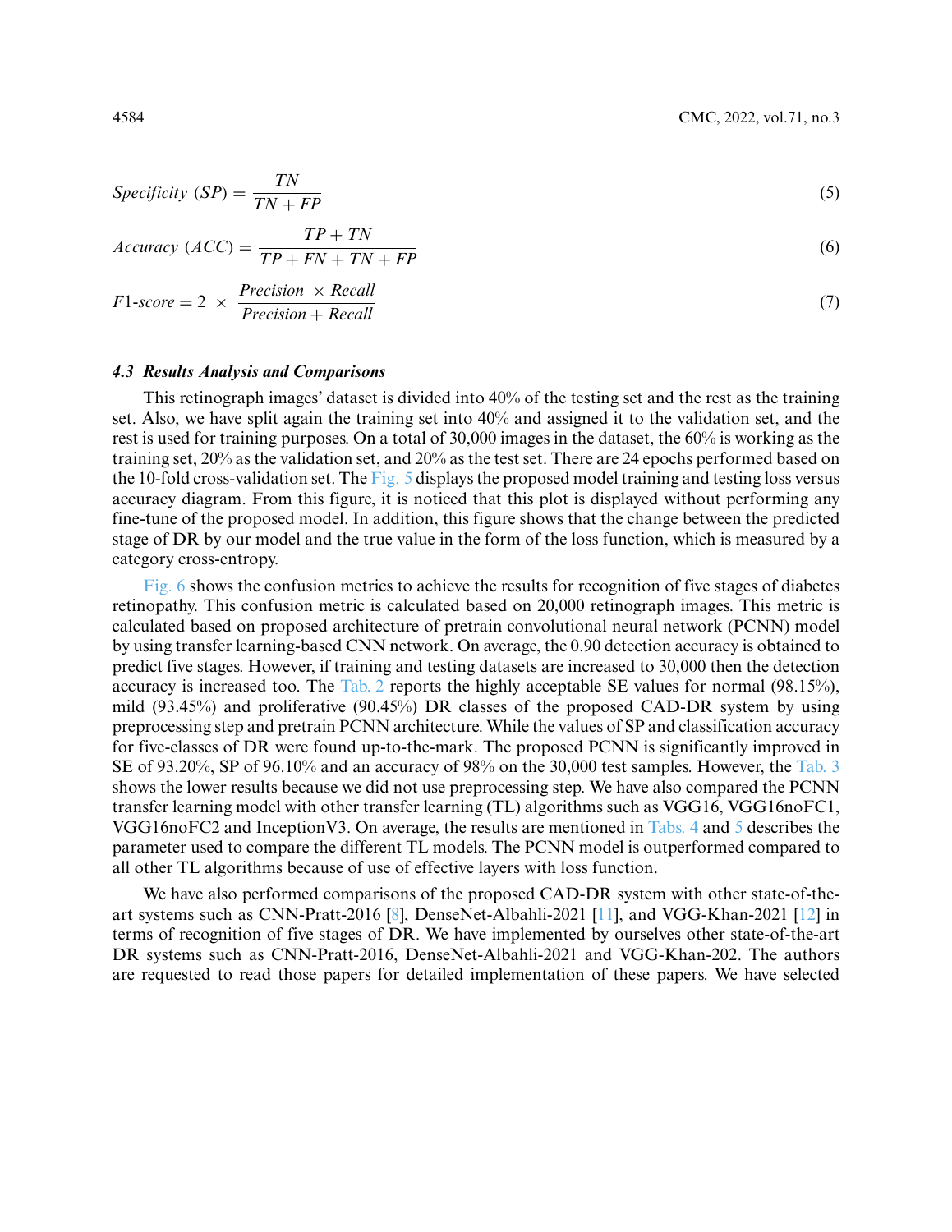$$
Specificity (SP) = \frac{TN}{TN + FP}
$$
\n(5)

$$
Accuracy (ACC) = \frac{TP + TN}{TP + FN + TN + FP}
$$
\n
$$
(6)
$$

$$
F1-score = 2 \times \frac{Precision \times Recall}{Precision + Recall}
$$
 (7)

# *4.3 Results Analysis and Comparisons*

This retinograph images' dataset is divided into 40% of the testing set and the rest as the training set. Also, we have split again the training set into 40% and assigned it to the validation set, and the rest is used for training purposes. On a total of 30,000 images in the dataset, the 60% is working as the training set, 20% as the validation set, and 20% as the test set. There are 24 epochs performed based on the 10-fold cross-validation set. The [Fig. 5](#page-9-0) displays the proposed model training and testing loss versus accuracy diagram. From this figure, it is noticed that this plot is displayed without performing any fine-tune of the proposed model. In addition, this figure shows that the change between the predicted stage of DR by our model and the true value in the form of the loss function, which is measured by a category cross-entropy.

[Fig. 6](#page-12-0) shows the confusion metrics to achieve the results for recognition of five stages of diabetes retinopathy. This confusion metric is calculated based on 20,000 retinograph images. This metric is calculated based on proposed architecture of pretrain convolutional neural network (PCNN) model by using transfer learning-based CNN network. On average, the 0.90 detection accuracy is obtained to predict five stages. However, if training and testing datasets are increased to 30,000 then the detection accuracy is increased too. The [Tab. 2](#page-10-0) reports the highly acceptable SE values for normal (98.15%), mild (93.45%) and proliferative (90.45%) DR classes of the proposed CAD-DR system by using preprocessing step and pretrain PCNN architecture. While the values of SP and classification accuracy for five-classes of DR were found up-to-the-mark. The proposed PCNN is significantly improved in SE of 93.20%, SP of 96.10% and an accuracy of 98% on the 30,000 test samples. However, the [Tab. 3](#page-12-1) shows the lower results because we did not use preprocessing step. We have also compared the PCNN transfer learning model with other transfer learning (TL) algorithms such as VGG16, VGG16noFC1, VGG16noFC2 and InceptionV3. On average, the results are mentioned in [Tabs. 4](#page-13-0) and [5](#page-13-1) describes the parameter used to compare the different TL models. The PCNN model is outperformed compared to all other TL algorithms because of use of effective layers with loss function.

We have also performed comparisons of the proposed CAD-DR system with other state-of-theart systems such as CNN-Pratt-2016 [\[8\]](#page-16-6), DenseNet-Albahli-2021 [\[11\]](#page-16-9), and VGG-Khan-2021 [\[12\]](#page-16-10) in terms of recognition of five stages of DR. We have implemented by ourselves other state-of-the-art DR systems such as CNN-Pratt-2016, DenseNet-Albahli-2021 and VGG-Khan-202. The authors are requested to read those papers for detailed implementation of these papers. We have selected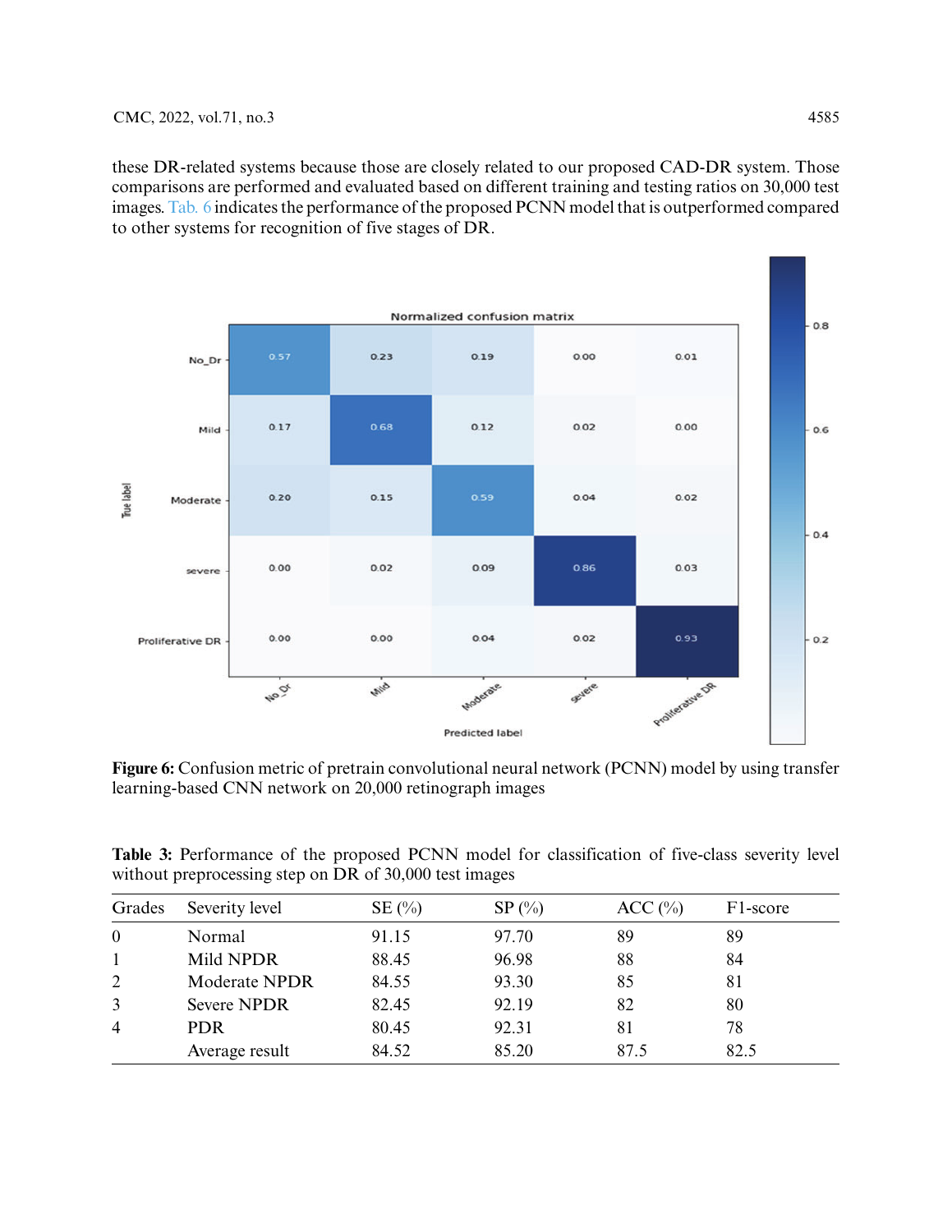these DR-related systems because those are closely related to our proposed CAD-DR system. Those comparisons are performed and evaluated based on different training and testing ratios on 30,000 test images. [Tab. 6](#page-13-2) indicates the performance of the proposed PCNN model that is outperformed compared to other systems for recognition of five stages of DR.



<span id="page-12-0"></span>**Figure 6:** Confusion metric of pretrain convolutional neural network (PCNN) model by using transfer learning-based CNN network on 20,000 retinograph images

<span id="page-12-1"></span>

|  |                                                        |  |  | <b>Table 3:</b> Performance of the proposed PCNN model for classification of five-class severity level |  |  |
|--|--------------------------------------------------------|--|--|--------------------------------------------------------------------------------------------------------|--|--|
|  | without preprocessing step on DR of 30,000 test images |  |  |                                                                                                        |  |  |

| Grades         | Severity level       | $SE(\%)$ | $SP(\%)$ | ACC (%) | F1-score |
|----------------|----------------------|----------|----------|---------|----------|
| $\mathbf{0}$   | Normal               | 91.15    | 97.70    | 89      | 89       |
|                | Mild NPDR            | 88.45    | 96.98    | 88      | 84       |
| 2              | <b>Moderate NPDR</b> | 84.55    | 93.30    | 85      | 81       |
| $\mathbf{3}$   | <b>Severe NPDR</b>   | 82.45    | 92.19    | 82      | 80       |
| $\overline{4}$ | PDR.                 | 80.45    | 92.31    | 81      | 78       |
|                | Average result       | 84.52    | 85.20    | 87.5    | 82.5     |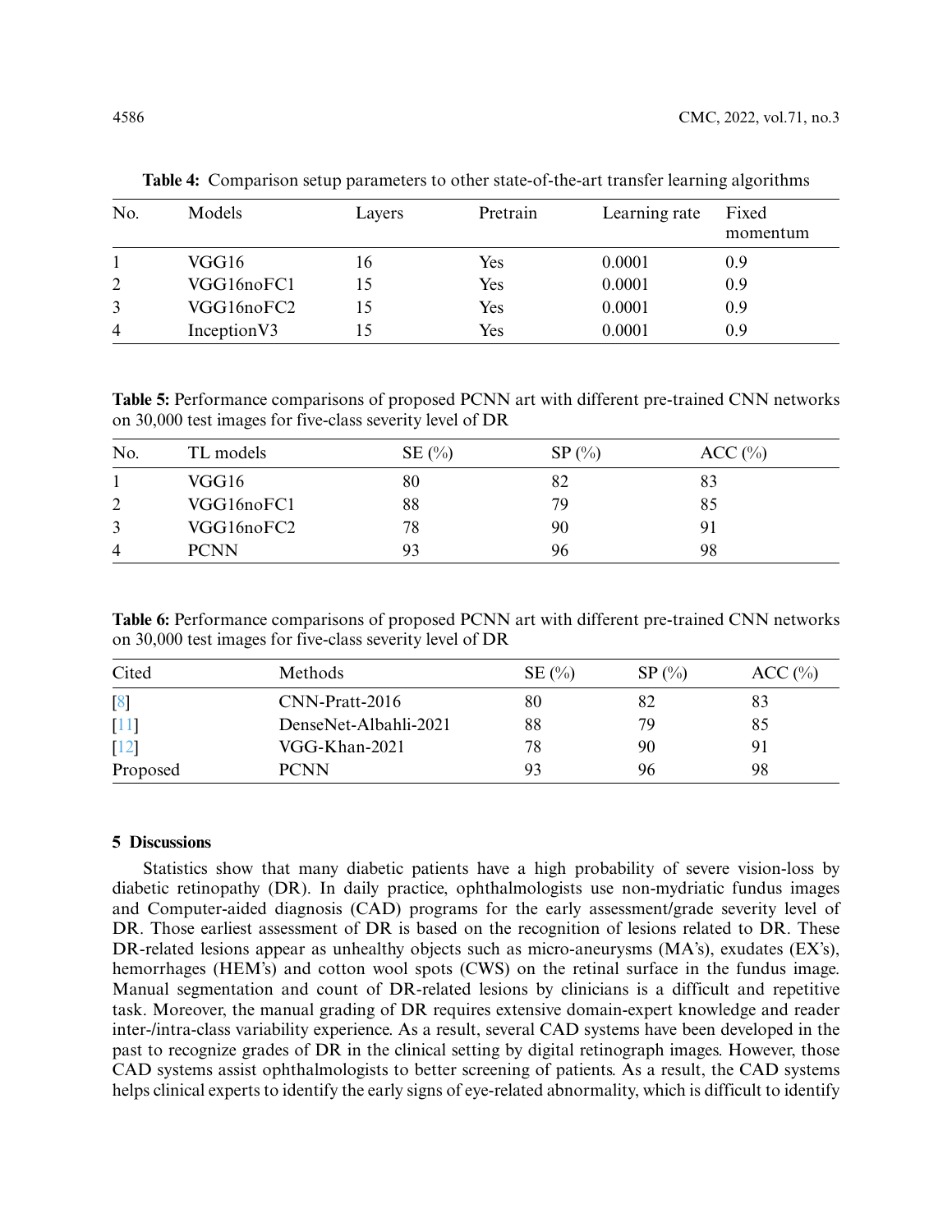| No.            | Models       | Layers | Pretrain | Learning rate | Fixed<br>momentum |
|----------------|--------------|--------|----------|---------------|-------------------|
|                | VGG16        | 16     | Yes      | 0.0001        | 0.9               |
| $\overline{2}$ | VGG16noFC1   | 15     | Yes      | 0.0001        | 0.9               |
| 3              | VGG16noFC2   | 15     | Yes      | 0.0001        | 0.9               |
| $\overline{4}$ | Inception V3 |        | Yes      | 0.0001        | 0.9               |

<span id="page-13-0"></span>**Table 4:** Comparison setup parameters to other state-of-the-art transfer learning algorithms

<span id="page-13-1"></span>**Table 5:** Performance comparisons of proposed PCNN art with different pre-trained CNN networks on 30,000 test images for five-class severity level of DR

| No.      | TL models   | $SE(\%)$ | $SP(\%)$ | ACC(%) |
|----------|-------------|----------|----------|--------|
|          | VGG16       | 80       | 82       | 83     |
| $\gamma$ | VGG16noFC1  | 88       | 79       | 85     |
| 3        | VGG16noFC2  | 78       | 90       |        |
| 4        | <b>PCNN</b> | 93       | 96       | 98     |

<span id="page-13-2"></span>**Table 6:** Performance comparisons of proposed PCNN art with different pre-trained CNN networks on 30,000 test images for five-class severity level of DR

| Cited              | Methods               | $SE(\%)$ | $SP(\%)$ | ACC(%) |
|--------------------|-----------------------|----------|----------|--------|
| $\lceil 8 \rceil$  | CNN-Pratt-2016        | 80       |          | 83     |
| $[11]$             | DenseNet-Albahli-2021 | 88       | 79       | 85     |
| $\lceil 12 \rceil$ | VGG-Khan-2021         | 78       | 90       |        |
| Proposed           | <b>PCNN</b>           | 93       | 96       | 98     |

# **5 Discussions**

Statistics show that many diabetic patients have a high probability of severe vision-loss by diabetic retinopathy (DR). In daily practice, ophthalmologists use non-mydriatic fundus images and Computer-aided diagnosis (CAD) programs for the early assessment/grade severity level of DR. Those earliest assessment of DR is based on the recognition of lesions related to DR. These DR-related lesions appear as unhealthy objects such as micro-aneurysms (MA's), exudates (EX's), hemorrhages (HEM's) and cotton wool spots (CWS) on the retinal surface in the fundus image. Manual segmentation and count of DR-related lesions by clinicians is a difficult and repetitive task. Moreover, the manual grading of DR requires extensive domain-expert knowledge and reader inter-/intra-class variability experience. As a result, several CAD systems have been developed in the past to recognize grades of DR in the clinical setting by digital retinograph images. However, those CAD systems assist ophthalmologists to better screening of patients. As a result, the CAD systems helps clinical experts to identify the early signs of eye-related abnormality, which is difficult to identify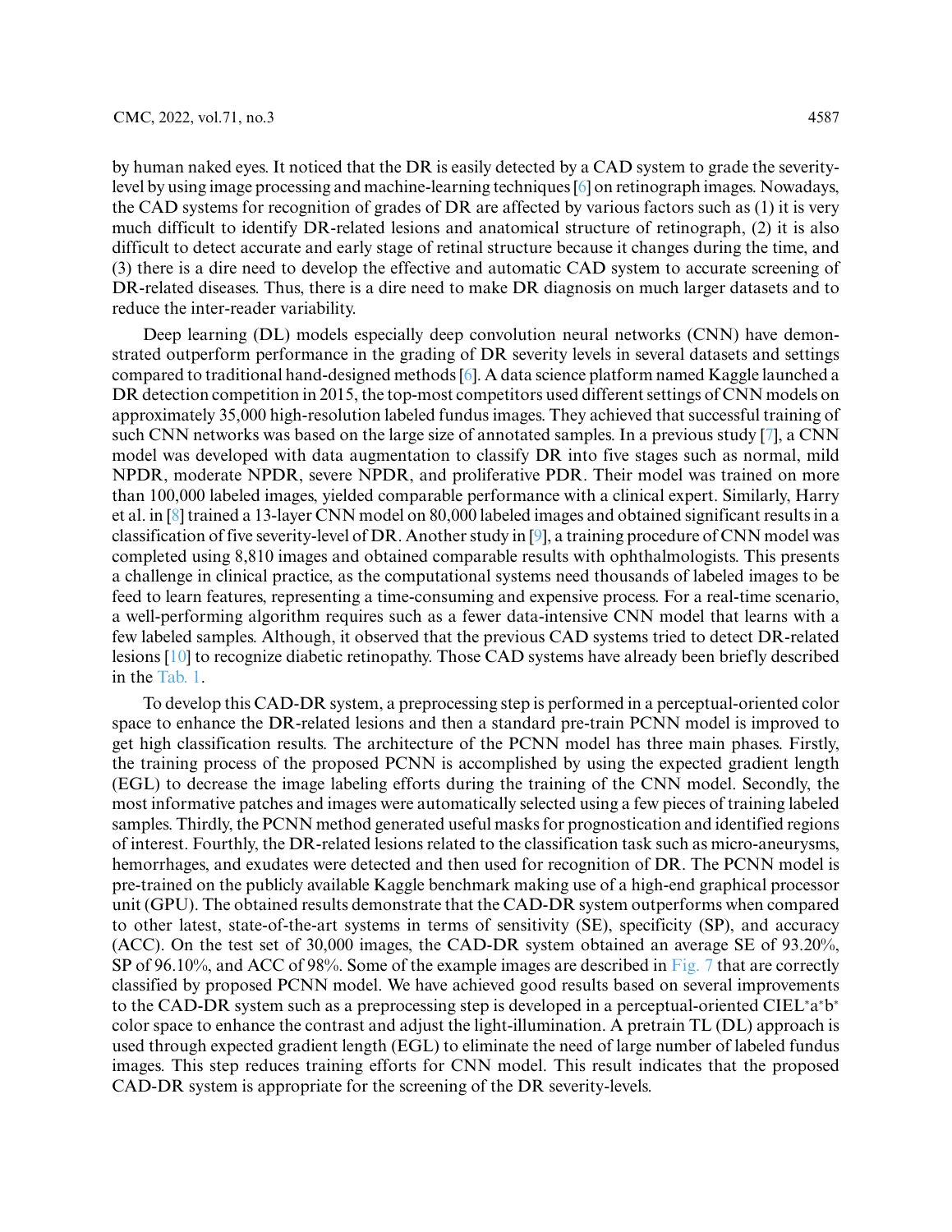by human naked eyes. It noticed that the DR is easily detected by a CAD system to grade the severitylevel by using image processing and machine-learning techniques [\[6\]](#page-16-4) on retinograph images. Nowadays, the CAD systems for recognition of grades of DR are affected by various factors such as (1) it is very much difficult to identify DR-related lesions and anatomical structure of retinograph, (2) it is also difficult to detect accurate and early stage of retinal structure because it changes during the time, and (3) there is a dire need to develop the effective and automatic CAD system to accurate screening of DR-related diseases. Thus, there is a dire need to make DR diagnosis on much larger datasets and to reduce the inter-reader variability.

Deep learning (DL) models especially deep convolution neural networks (CNN) have demonstrated outperform performance in the grading of DR severity levels in several datasets and settings compared to traditional hand-designed methods [\[6\]](#page-16-4). A data science platform named Kaggle launched a DR detection competition in 2015, the top-most competitors used different settings of CNN models on approximately 35,000 high-resolution labeled fundus images. They achieved that successful training of such CNN networks was based on the large size of annotated samples. In a previous study [\[7\]](#page-16-5), a CNN model was developed with data augmentation to classify DR into five stages such as normal, mild NPDR, moderate NPDR, severe NPDR, and proliferative PDR. Their model was trained on more than 100,000 labeled images, yielded comparable performance with a clinical expert. Similarly, Harry et al. in [\[8\]](#page-16-6) trained a 13-layer CNN model on 80,000 labeled images and obtained significant results in a classification of five severity-level of DR. Another study in [\[9\]](#page-16-7), a training procedure of CNN model was completed using 8,810 images and obtained comparable results with ophthalmologists. This presents a challenge in clinical practice, as the computational systems need thousands of labeled images to be feed to learn features, representing a time-consuming and expensive process. For a real-time scenario, a well-performing algorithm requires such as a fewer data-intensive CNN model that learns with a few labeled samples. Although, it observed that the previous CAD systems tried to detect DR-related lesions [\[10\]](#page-16-8) to recognize diabetic retinopathy. Those CAD systems have already been briefly described in the [Tab. 1.](#page-3-0)

To develop this CAD-DR system, a preprocessing step is performed in a perceptual-oriented color space to enhance the DR-related lesions and then a standard pre-train PCNN model is improved to get high classification results. The architecture of the PCNN model has three main phases. Firstly, the training process of the proposed PCNN is accomplished by using the expected gradient length (EGL) to decrease the image labeling efforts during the training of the CNN model. Secondly, the most informative patches and images were automatically selected using a few pieces of training labeled samples. Thirdly, the PCNN method generated useful masks for prognostication and identified regions of interest. Fourthly, the DR-related lesions related to the classification task such as micro-aneurysms, hemorrhages, and exudates were detected and then used for recognition of DR. The PCNN model is pre-trained on the publicly available Kaggle benchmark making use of a high-end graphical processor unit (GPU). The obtained results demonstrate that the CAD-DR system outperforms when compared to other latest, state-of-the-art systems in terms of sensitivity (SE), specificity (SP), and accuracy (ACC). On the test set of 30,000 images, the CAD-DR system obtained an average SE of 93.20%, SP of 96.10%, and ACC of 98%. Some of the example images are described in [Fig. 7](#page-15-0) that are correctly classified by proposed PCNN model. We have achieved good results based on several improvements to the CAD-DR system such as a preprocessing step is developed in a perceptual-oriented CIEL<sup>∗</sup> a∗ b∗ color space to enhance the contrast and adjust the light-illumination. A pretrain TL (DL) approach is used through expected gradient length (EGL) to eliminate the need of large number of labeled fundus images. This step reduces training efforts for CNN model. This result indicates that the proposed CAD-DR system is appropriate for the screening of the DR severity-levels.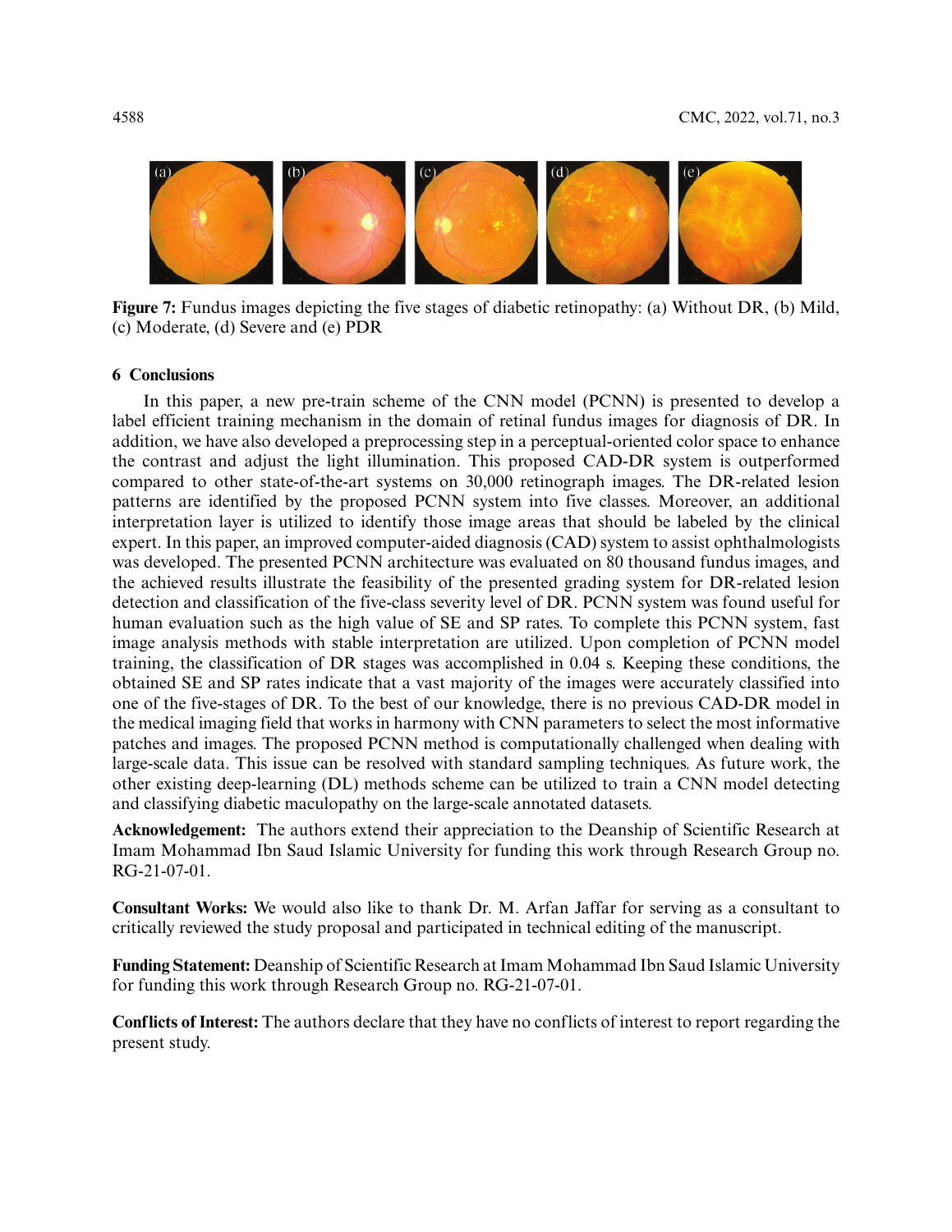

**Figure 7:** Fundus images depicting the five stages of diabetic retinopathy: (a) Without DR, (b) Mild, (c) Moderate, (d) Severe and (e) PDR

# <span id="page-15-0"></span>**6 Conclusions**

In this paper, a new pre-train scheme of the CNN model (PCNN) is presented to develop a label efficient training mechanism in the domain of retinal fundus images for diagnosis of DR. In addition, we have also developed a preprocessing step in a perceptual-oriented color space to enhance the contrast and adjust the light illumination. This proposed CAD-DR system is outperformed compared to other state-of-the-art systems on 30,000 retinograph images. The DR-related lesion patterns are identified by the proposed PCNN system into five classes. Moreover, an additional interpretation layer is utilized to identify those image areas that should be labeled by the clinical expert. In this paper, an improved computer-aided diagnosis (CAD) system to assist ophthalmologists was developed. The presented PCNN architecture was evaluated on 80 thousand fundus images, and the achieved results illustrate the feasibility of the presented grading system for DR-related lesion detection and classification of the five-class severity level of DR. PCNN system was found useful for human evaluation such as the high value of SE and SP rates. To complete this PCNN system, fast image analysis methods with stable interpretation are utilized. Upon completion of PCNN model training, the classification of DR stages was accomplished in 0.04 s. Keeping these conditions, the obtained SE and SP rates indicate that a vast majority of the images were accurately classified into one of the five-stages of DR. To the best of our knowledge, there is no previous CAD-DR model in the medical imaging field that works in harmony with CNN parameters to select the most informative patches and images. The proposed PCNN method is computationally challenged when dealing with large-scale data. This issue can be resolved with standard sampling techniques. As future work, the other existing deep-learning (DL) methods scheme can be utilized to train a CNN model detecting and classifying diabetic maculopathy on the large-scale annotated datasets.

**Acknowledgement:** The authors extend their appreciation to the Deanship of Scientific Research at Imam Mohammad Ibn Saud Islamic University for funding this work through Research Group no. RG-21-07-01.

**Consultant Works:** We would also like to thank Dr. M. Arfan Jaffar for serving as a consultant to critically reviewed the study proposal and participated in technical editing of the manuscript.

**Funding Statement:** Deanship of Scientific Research at Imam Mohammad Ibn Saud Islamic University for funding this work through Research Group no. RG-21-07-01.

**Conflicts of Interest:** The authors declare that they have no conflicts of interest to report regarding the present study.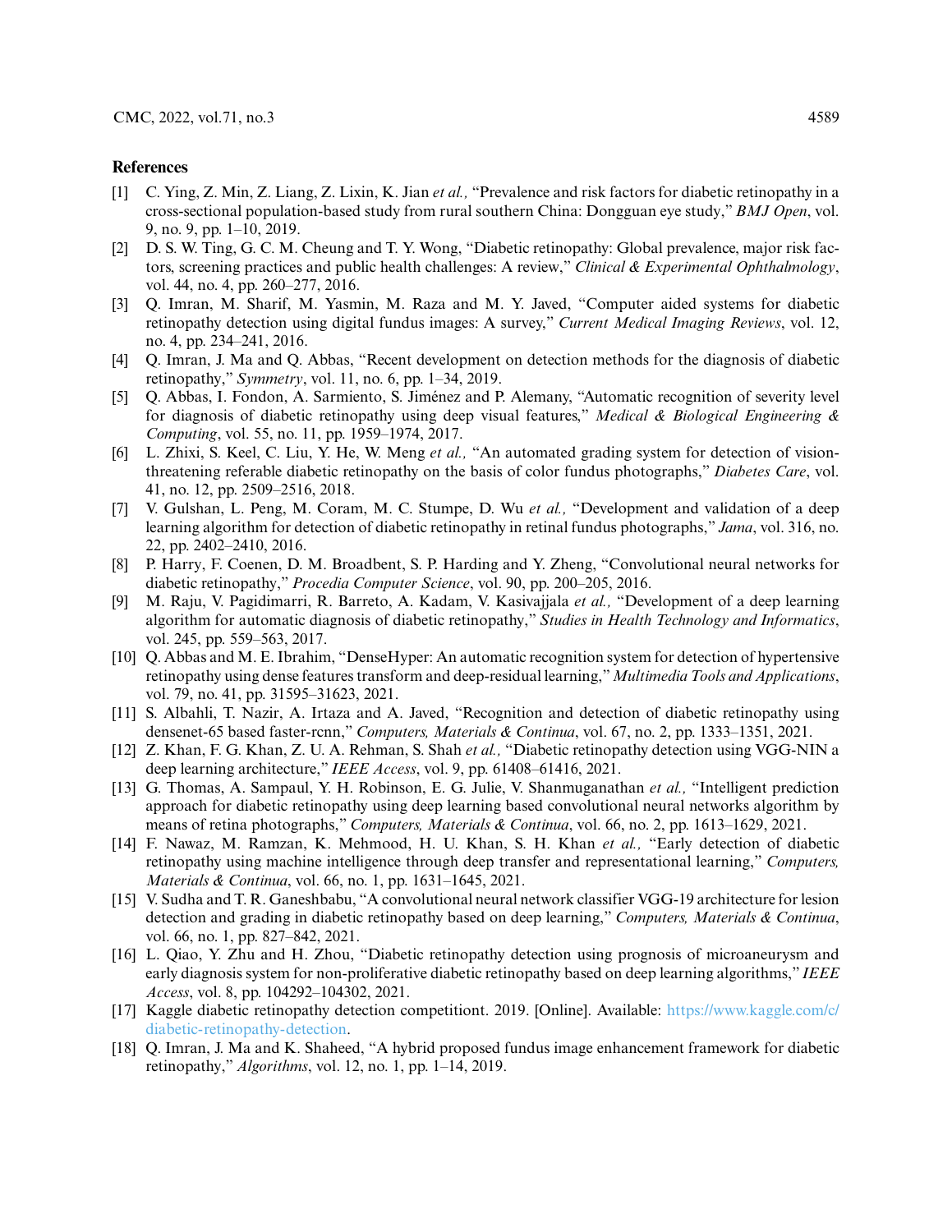#### **References**

- <span id="page-16-0"></span>[1] C. Ying, Z. Min, Z. Liang, Z. Lixin, K. Jian *et al.,* "Prevalence and risk factors for diabetic retinopathy in a cross-sectional population-based study from rural southern China: Dongguan eye study," *BMJ Open*, vol. 9, no. 9, pp. 1–10, 2019.
- <span id="page-16-1"></span>[2] D. S. W. Ting, G. C. M. Cheung and T. Y. Wong, "Diabetic retinopathy: Global prevalence, major risk factors, screening practices and public health challenges: A review," *Clinical & Experimental Ophthalmology*, vol. 44, no. 4, pp. 260–277, 2016.
- <span id="page-16-2"></span>[3] Q. Imran, M. Sharif, M. Yasmin, M. Raza and M. Y. Javed, "Computer aided systems for diabetic retinopathy detection using digital fundus images: A survey," *Current Medical Imaging Reviews*, vol. 12, no. 4, pp. 234–241, 2016.
- [4] Q. Imran, J. Ma and Q. Abbas, "Recent development on detection methods for the diagnosis of diabetic retinopathy," *Symmetry*, vol. 11, no. 6, pp. 1–34, 2019.
- <span id="page-16-3"></span>[5] Q. Abbas, I. Fondon, A. Sarmiento, S. Jiménez and P. Alemany, "Automatic recognition of severity level for diagnosis of diabetic retinopathy using deep visual features," *Medical & Biological Engineering & Computing*, vol. 55, no. 11, pp. 1959–1974, 2017.
- <span id="page-16-4"></span>[6] L. Zhixi, S. Keel, C. Liu, Y. He, W. Meng *et al.,* "An automated grading system for detection of visionthreatening referable diabetic retinopathy on the basis of color fundus photographs," *Diabetes Care*, vol. 41, no. 12, pp. 2509–2516, 2018.
- <span id="page-16-5"></span>[7] V. Gulshan, L. Peng, M. Coram, M. C. Stumpe, D. Wu *et al.,* "Development and validation of a deep learning algorithm for detection of diabetic retinopathy in retinal fundus photographs," *Jama*, vol. 316, no. 22, pp. 2402–2410, 2016.
- <span id="page-16-6"></span>[8] P. Harry, F. Coenen, D. M. Broadbent, S. P. Harding and Y. Zheng, "Convolutional neural networks for diabetic retinopathy," *Procedia Computer Science*, vol. 90, pp. 200–205, 2016.
- <span id="page-16-7"></span>[9] M. Raju, V. Pagidimarri, R. Barreto, A. Kadam, V. Kasivajjala *et al.,* "Development of a deep learning algorithm for automatic diagnosis of diabetic retinopathy," *Studies in Health Technology and Informatics*, vol. 245, pp. 559–563, 2017.
- <span id="page-16-8"></span>[10] Q. Abbas and M. E. Ibrahim, "DenseHyper: An automatic recognition system for detection of hypertensive retinopathy using dense features transform and deep-residual learning,"*Multimedia Tools and Applications*, vol. 79, no. 41, pp. 31595–31623, 2021.
- <span id="page-16-9"></span>[11] S. Albahli, T. Nazir, A. Irtaza and A. Javed, "Recognition and detection of diabetic retinopathy using densenet-65 based faster-rcnn," *Computers, Materials & Continua*, vol. 67, no. 2, pp. 1333–1351, 2021.
- <span id="page-16-10"></span>[12] Z. Khan, F. G. Khan, Z. U. A. Rehman, S. Shah *et al.,* "Diabetic retinopathy detection using VGG-NIN a deep learning architecture," *IEEE Access*, vol. 9, pp. 61408–61416, 2021.
- <span id="page-16-11"></span>[13] G. Thomas, A. Sampaul, Y. H. Robinson, E. G. Julie, V. Shanmuganathan *et al.,* "Intelligent prediction approach for diabetic retinopathy using deep learning based convolutional neural networks algorithm by means of retina photographs," *Computers, Materials & Continua*, vol. 66, no. 2, pp. 1613–1629, 2021.
- <span id="page-16-12"></span>[14] F. Nawaz, M. Ramzan, K. Mehmood, H. U. Khan, S. H. Khan *et al.,* "Early detection of diabetic retinopathy using machine intelligence through deep transfer and representational learning," *Computers, Materials & Continua*, vol. 66, no. 1, pp. 1631–1645, 2021.
- <span id="page-16-13"></span>[15] V. Sudha and T. R. Ganeshbabu, "A convolutional neural network classifier VGG-19 architecture for lesion detection and grading in diabetic retinopathy based on deep learning," *Computers, Materials & Continua*, vol. 66, no. 1, pp. 827–842, 2021.
- <span id="page-16-14"></span>[16] L. Qiao, Y. Zhu and H. Zhou, "Diabetic retinopathy detection using prognosis of microaneurysm and early diagnosis system for non-proliferative diabetic retinopathy based on deep learning algorithms," *IEEE Access*, vol. 8, pp. 104292–104302, 2021.
- <span id="page-16-15"></span>[17] Kaggle diabetic retinopathy detection competitiont. 2019. [Online]. Available: [https://www.kaggle.com/c/](https://www.kaggle.com/c/diabetic-retinopathy-detection) [diabetic-retinopathy-detection.](https://www.kaggle.com/c/diabetic-retinopathy-detection)
- <span id="page-16-16"></span>[18] Q. Imran, J. Ma and K. Shaheed, "A hybrid proposed fundus image enhancement framework for diabetic retinopathy," *Algorithms*, vol. 12, no. 1, pp. 1–14, 2019.